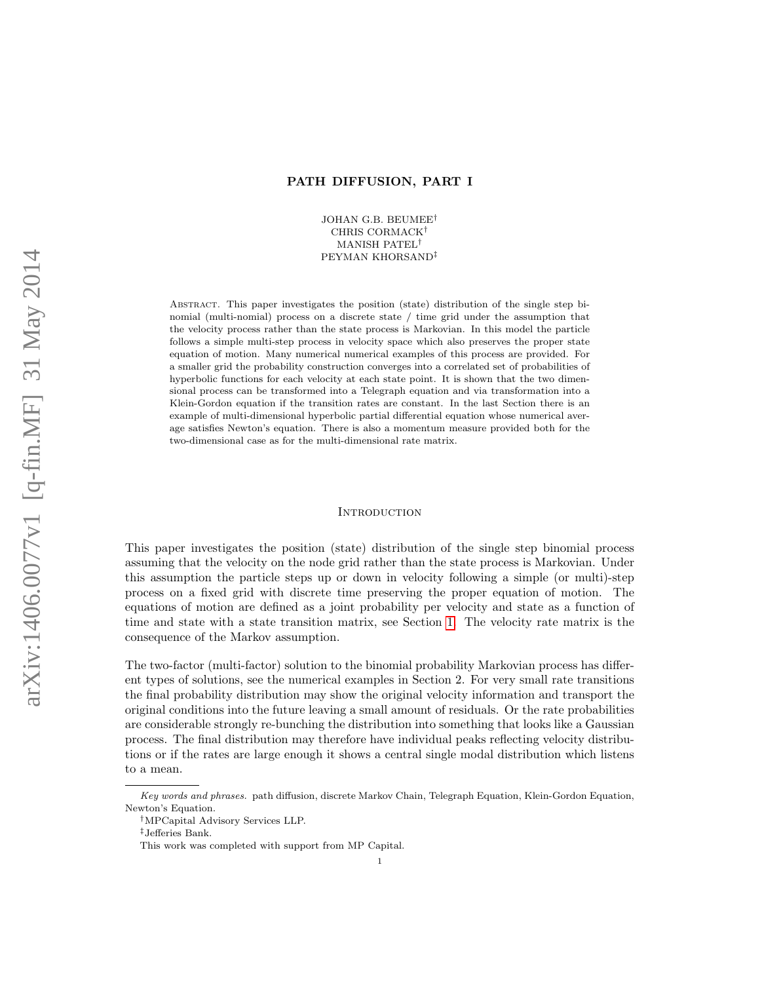# PATH DIFFUSION, PART I

JOHAN G.B. BEUMEE† CHRIS CORMACK† MANISH PATEL† PEYMAN KHORSAND‡

Abstract. This paper investigates the position (state) distribution of the single step binomial (multi-nomial) process on a discrete state / time grid under the assumption that the velocity process rather than the state process is Markovian. In this model the particle follows a simple multi-step process in velocity space which also preserves the proper state equation of motion. Many numerical numerical examples of this process are provided. For a smaller grid the probability construction converges into a correlated set of probabilities of hyperbolic functions for each velocity at each state point. It is shown that the two dimensional process can be transformed into a Telegraph equation and via transformation into a Klein-Gordon equation if the transition rates are constant. In the last Section there is an example of multi-dimensional hyperbolic partial differential equation whose numerical average satisfies Newton's equation. There is also a momentum measure provided both for the two-dimensional case as for the multi-dimensional rate matrix.

#### **INTRODUCTION**

This paper investigates the position (state) distribution of the single step binomial process assuming that the velocity on the node grid rather than the state process is Markovian. Under this assumption the particle steps up or down in velocity following a simple (or multi)-step process on a fixed grid with discrete time preserving the proper equation of motion. The equations of motion are defined as a joint probability per velocity and state as a function of time and state with a state transition matrix, see Section [1.](#page-1-0) The velocity rate matrix is the consequence of the Markov assumption.

The two-factor (multi-factor) solution to the binomial probability Markovian process has different types of solutions, see the numerical examples in Section 2. For very small rate transitions the final probability distribution may show the original velocity information and transport the original conditions into the future leaving a small amount of residuals. Or the rate probabilities are considerable strongly re-bunching the distribution into something that looks like a Gaussian process. The final distribution may therefore have individual peaks reflecting velocity distributions or if the rates are large enough it shows a central single modal distribution which listens to a mean.

Key words and phrases. path diffusion, discrete Markov Chain, Telegraph Equation, Klein-Gordon Equation, Newton's Equation.

<sup>†</sup>MPCapital Advisory Services LLP.

<sup>‡</sup>Jefferies Bank.

This work was completed with support from MP Capital.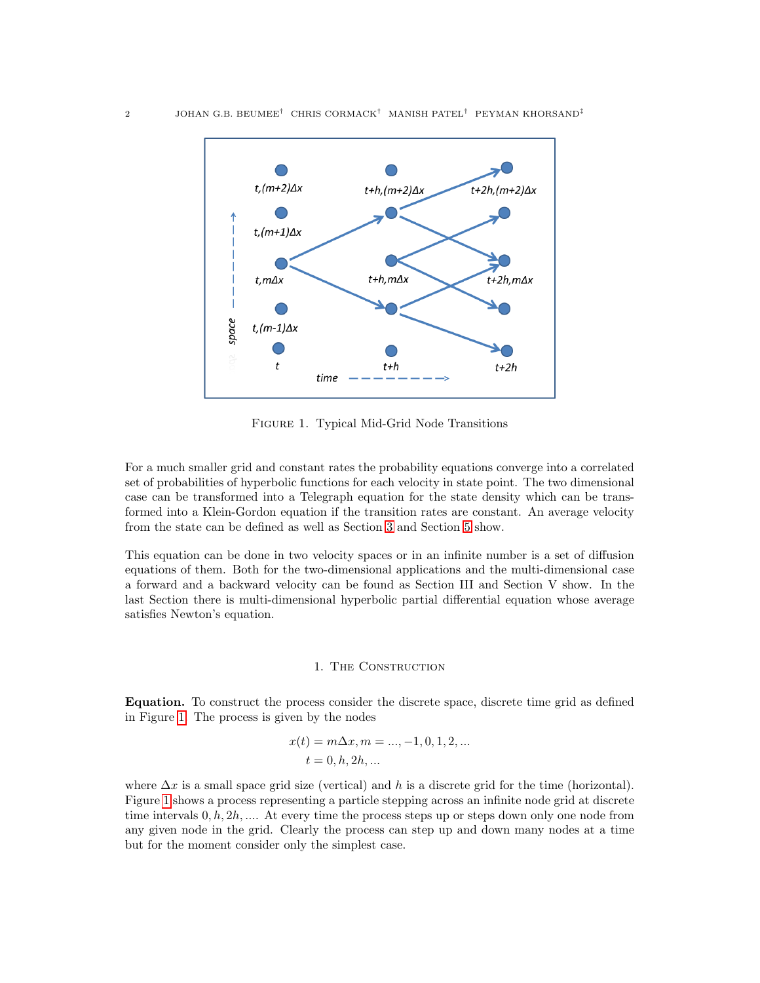<span id="page-1-1"></span>

Figure 1. Typical Mid-Grid Node Transitions

For a much smaller grid and constant rates the probability equations converge into a correlated set of probabilities of hyperbolic functions for each velocity in state point. The two dimensional case can be transformed into a Telegraph equation for the state density which can be transformed into a Klein-Gordon equation if the transition rates are constant. An average velocity from the state can be defined as well as Section [3](#page-9-0) and Section [5](#page-19-0) show.

This equation can be done in two velocity spaces or in an infinite number is a set of diffusion equations of them. Both for the two-dimensional applications and the multi-dimensional case a forward and a backward velocity can be found as Section III and Section V show. In the last Section there is multi-dimensional hyperbolic partial differential equation whose average satisfies Newton's equation.

## 1. The Construction

<span id="page-1-0"></span>Equation. To construct the process consider the discrete space, discrete time grid as defined in Figure [1.](#page-1-1) The process is given by the nodes

$$
x(t) = m\Delta x, m = ..., -1, 0, 1, 2, ...
$$

$$
t = 0, h, 2h, ...
$$

where  $\Delta x$  is a small space grid size (vertical) and h is a discrete grid for the time (horizontal). Figure [1](#page-1-1) shows a process representing a particle stepping across an infinite node grid at discrete time intervals  $0, h, 2h, \ldots$ . At every time the process steps up or steps down only one node from any given node in the grid. Clearly the process can step up and down many nodes at a time but for the moment consider only the simplest case.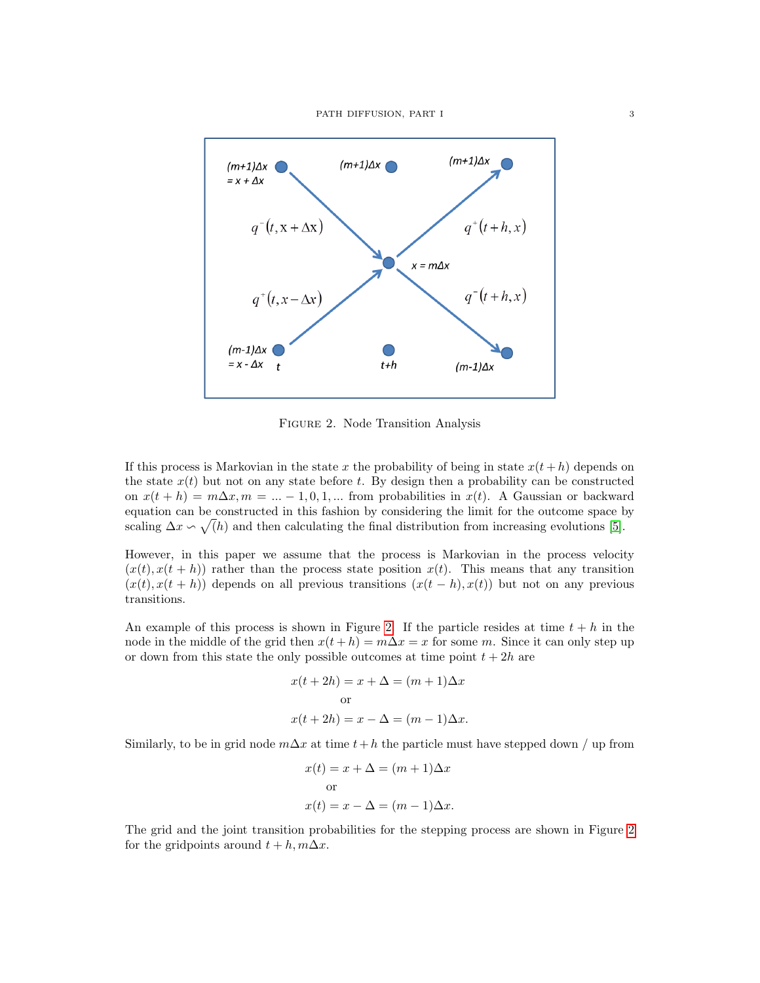PATH DIFFUSION, PART I 3

<span id="page-2-0"></span>

Figure 2. Node Transition Analysis

If this process is Markovian in the state x the probability of being in state  $x(t + h)$  depends on the state  $x(t)$  but not on any state before t. By design then a probability can be constructed on  $x(t + h) = m\Delta x, m = ... - 1, 0, 1, ...$  from probabilities in  $x(t)$ . A Gaussian or backward equation can be constructed in this fashion by considering the limit for the outcome space by scaling  $\Delta x \backsim \sqrt(h)$  and then calculating the final distribution from increasing evolutions [\[5\]](#page-27-0).

However, in this paper we assume that the process is Markovian in the process velocity  $(x(t), x(t + h))$  rather than the process state position  $x(t)$ . This means that any transition  $(x(t), x(t + h))$  depends on all previous transitions  $(x(t - h), x(t))$  but not on any previous transitions.

An example of this process is shown in Figure [2.](#page-2-0) If the particle resides at time  $t + h$  in the node in the middle of the grid then  $x(t + h) = m\Delta x = x$  for some m. Since it can only step up or down from this state the only possible outcomes at time point  $t + 2h$  are

$$
x(t + 2h) = x + \Delta = (m + 1)\Delta x
$$
  
or  

$$
x(t + 2h) = x - \Delta = (m - 1)\Delta x.
$$

Similarly, to be in grid node  $m\Delta x$  at time  $t+h$  the particle must have stepped down / up from

$$
x(t) = x + \Delta = (m+1)\Delta x
$$
  
or  

$$
x(t) = x - \Delta = (m-1)\Delta x.
$$

The grid and the joint transition probabilities for the stepping process are shown in Figure [2](#page-2-0) for the gridpoints around  $t + h, m\Delta x$ .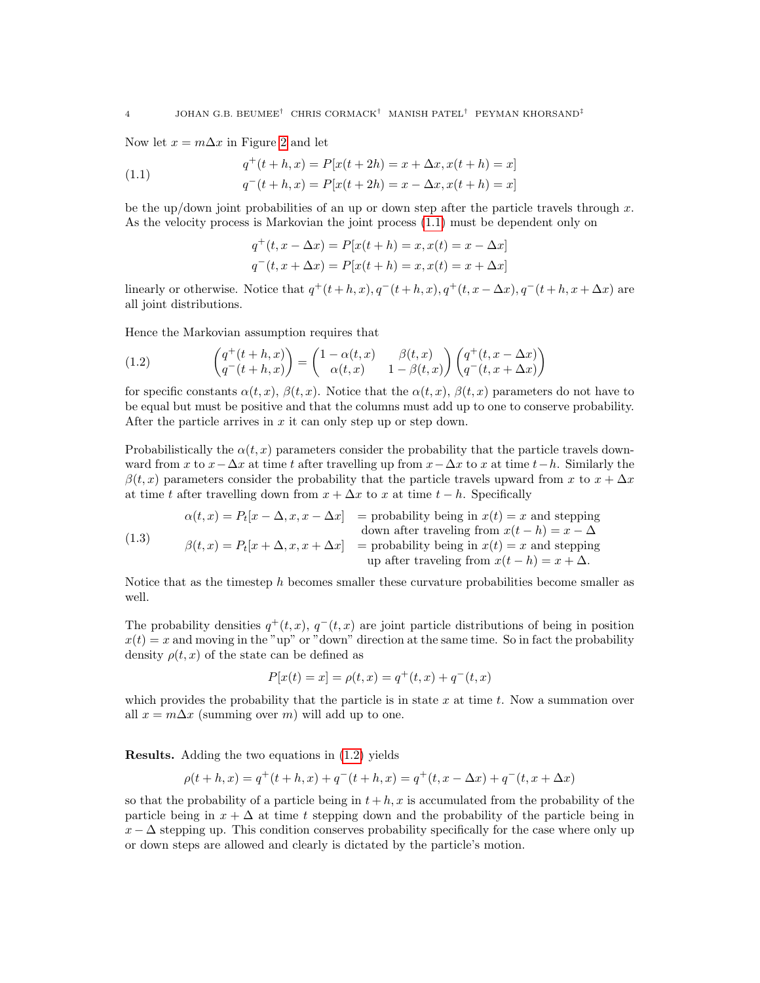Now let  $x = m\Delta x$  in Figure [2](#page-2-0) and let

<span id="page-3-0"></span>(1.1) 
$$
q^+(t+h,x) = P[x(t+2h) = x + \Delta x, x(t+h) = x]
$$

$$
q^-(t+h,x) = P[x(t+2h) = x - \Delta x, x(t+h) = x]
$$

be the up/down joint probabilities of an up or down step after the particle travels through  $x$ . As the velocity process is Markovian the joint process [\(1.1\)](#page-3-0) must be dependent only on

$$
q^+(t, x - \Delta x) = P[x(t+h) = x, x(t) = x - \Delta x]
$$

$$
q^-(t, x + \Delta x) = P[x(t+h) = x, x(t) = x + \Delta x]
$$

linearly or otherwise. Notice that  $q^+(t+h,x), q^-(t+h,x), q^+(t,x-\Delta x), q^-(t+h,x+\Delta x)$  are all joint distributions.

Hence the Markovian assumption requires that

<span id="page-3-1"></span>(1.2) 
$$
\begin{pmatrix} q^+(t+h,x) \ q^-(t+h,x) \end{pmatrix} = \begin{pmatrix} 1-\alpha(t,x) & \beta(t,x) \ \alpha(t,x) & 1-\beta(t,x) \end{pmatrix} \begin{pmatrix} q^+(t,x-\Delta x) \ q^-(t,x+\Delta x) \end{pmatrix}
$$

for specific constants  $\alpha(t, x)$ ,  $\beta(t, x)$ . Notice that the  $\alpha(t, x)$ ,  $\beta(t, x)$  parameters do not have to be equal but must be positive and that the columns must add up to one to conserve probability. After the particle arrives in  $x$  it can only step up or step down.

Probabilistically the  $\alpha(t, x)$  parameters consider the probability that the particle travels downward from x to  $x - \Delta x$  at time t after travelling up from  $x - \Delta x$  to x at time  $t - h$ . Similarly the  $\beta(t, x)$  parameters consider the probability that the particle travels upward from x to  $x + \Delta x$ at time t after travelling down from  $x + \Delta x$  to x at time  $t - h$ . Specifically

<span id="page-3-2"></span>(1.3) 
$$
\alpha(t,x) = P_t[x - \Delta, x, x - \Delta x] = \text{probability being in } x(t) = x \text{ and stepping down after traveling from } x(t - h) = x - \Delta
$$

$$
\beta(t,x) = P_t[x + \Delta, x, x + \Delta x] = \text{probability being in } x(t) = x \text{ and stepping up after traveling from } x(t - h) = x + \Delta.
$$

Notice that as the timestep h becomes smaller these curvature probabilities become smaller as well.

The probability densities  $q^+(t, x)$ ,  $q^-(t, x)$  are joint particle distributions of being in position  $x(t) = x$  and moving in the "up" or "down" direction at the same time. So in fact the probability density  $\rho(t, x)$  of the state can be defined as

$$
P[x(t) = x] = \rho(t, x) = q^{+}(t, x) + q^{-}(t, x)
$$

which provides the probability that the particle is in state x at time t. Now a summation over all  $x = m\Delta x$  (summing over m) will add up to one.

Results. Adding the two equations in [\(1.2\)](#page-3-1) yields

$$
\rho(t+h,x) = q^+(t+h,x) + q^-(t+h,x) = q^+(t,x-\Delta x) + q^-(t,x+\Delta x)
$$

so that the probability of a particle being in  $t + h, x$  is accumulated from the probability of the particle being in  $x + \Delta$  at time t stepping down and the probability of the particle being in  $x - \Delta$  stepping up. This condition conserves probability specifically for the case where only up or down steps are allowed and clearly is dictated by the particle's motion.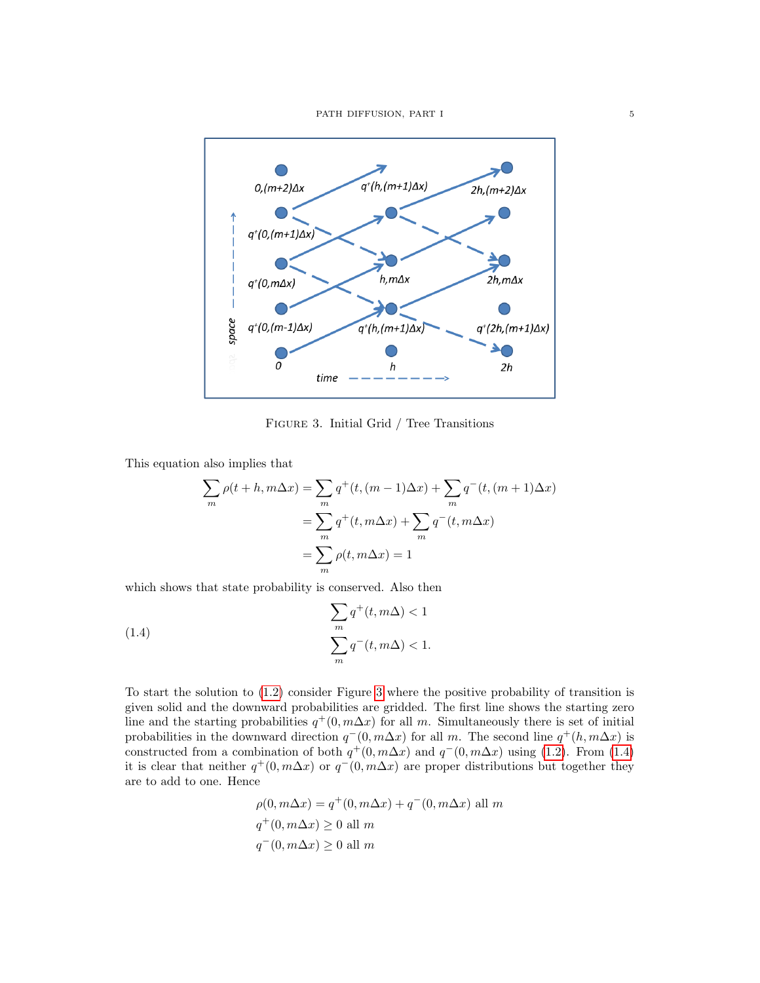<span id="page-4-0"></span>

Figure 3. Initial Grid / Tree Transitions

This equation also implies that

$$
\sum_{m} \rho(t+h, m\Delta x) = \sum_{m} q^{+}(t, (m-1)\Delta x) + \sum_{m} q^{-}(t, (m+1)\Delta x)
$$

$$
= \sum_{m} q^{+}(t, m\Delta x) + \sum_{m} q^{-}(t, m\Delta x)
$$

$$
= \sum_{m} \rho(t, m\Delta x) = 1
$$

which shows that state probability is conserved. Also then

<span id="page-4-1"></span>(1.4) 
$$
\sum_{m} q^{+}(t, m\Delta) < 1
$$

$$
\sum_{m} q^{-}(t, m\Delta) < 1.
$$

To start the solution to [\(1.2\)](#page-3-1) consider Figure [3](#page-4-0) where the positive probability of transition is given solid and the downward probabilities are gridded. The first line shows the starting zero line and the starting probabilities  $q^+(0, m\Delta x)$  for all m. Simultaneously there is set of initial probabilities in the downward direction  $q^-(0, m\Delta x)$  for all m. The second line  $q^+(h, m\Delta x)$  is constructed from a combination of both  $q^+(0, m\Delta x)$  and  $q^-(0, m\Delta x)$  using [\(1.2\)](#page-3-1). From [\(1.4\)](#page-4-1) it is clear that neither  $q^+(0, m\Delta x)$  or  $q^-(0, m\Delta x)$  are proper distributions but together they are to add to one. Hence

$$
\rho(0, m\Delta x) = q^+(0, m\Delta x) + q^-(0, m\Delta x)
$$
all  $m$   
 $q^+(0, m\Delta x) \ge 0$ all  $m$   
 $q^-(0, m\Delta x) \ge 0$ all  $m$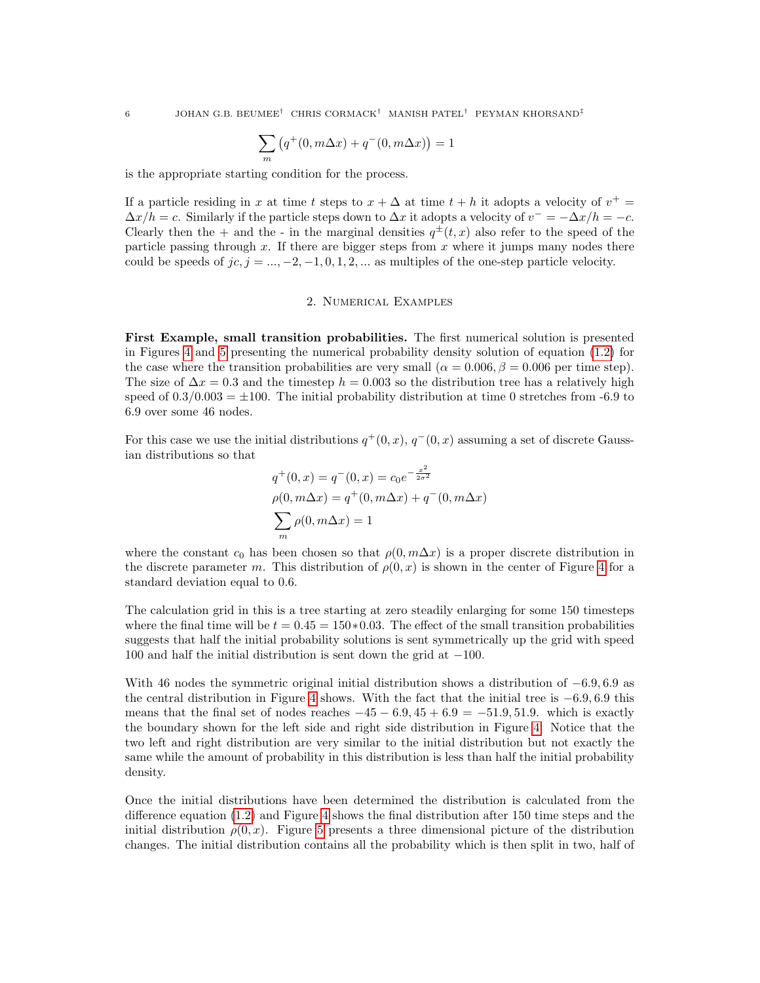$$
\sum_{m} \left( q^+(0, m\Delta x) + q^-(0, m\Delta x) \right) = 1
$$

is the appropriate starting condition for the process.

If a particle residing in x at time t steps to  $x + \Delta$  at time  $t + h$  it adopts a velocity of  $v^+$  $\Delta x/h = c$ . Similarly if the particle steps down to  $\Delta x$  it adopts a velocity of  $v^- = -\Delta x/h = -c$ . Clearly then the + and the - in the marginal densities  $q^{\pm}(t, x)$  also refer to the speed of the particle passing through  $x$ . If there are bigger steps from  $x$  where it jumps many nodes there could be speeds of  $jc, j = \ldots, -2, -1, 0, 1, 2, \ldots$  as multiples of the one-step particle velocity.

## 2. Numerical Examples

First Example, small transition probabilities. The first numerical solution is presented in Figures [4](#page-6-0) and [5](#page-6-1) presenting the numerical probability density solution of equation [\(1.2\)](#page-3-1) for the case where the transition probabilities are very small ( $\alpha = 0.006$ ,  $\beta = 0.006$  per time step). The size of  $\Delta x = 0.3$  and the timestep  $h = 0.003$  so the distribution tree has a relatively high speed of  $0.3/0.003 = \pm 100$ . The initial probability distribution at time 0 stretches from -6.9 to 6.9 over some 46 nodes.

For this case we use the initial distributions  $q^+(0, x)$ ,  $q^-(0, x)$  assuming a set of discrete Gaussian distributions so that

$$
q^{+}(0, x) = q^{-}(0, x) = c_0 e^{-\frac{x^2}{2\sigma^2}}
$$
  
\n
$$
\rho(0, m\Delta x) = q^{+}(0, m\Delta x) + q^{-}(0, m\Delta x)
$$
  
\n
$$
\sum_{m} \rho(0, m\Delta x) = 1
$$

where the constant  $c_0$  has been chosen so that  $\rho(0, m\Delta x)$  is a proper discrete distribution in the discrete parameter m. This distribution of  $\rho(0, x)$  is shown in the center of Figure [4](#page-6-0) for a standard deviation equal to 0.6.

The calculation grid in this is a tree starting at zero steadily enlarging for some 150 timesteps where the final time will be  $t = 0.45 = 150*0.03$ . The effect of the small transition probabilities suggests that half the initial probability solutions is sent symmetrically up the grid with speed 100 and half the initial distribution is sent down the grid at −100.

With 46 nodes the symmetric original initial distribution shows a distribution of  $-6.9, 6.9$  as the central distribution in Figure [4](#page-6-0) shows. With the fact that the initial tree is  $-6.9, 6.9$  this means that the final set of nodes reaches  $-45 - 6.9$ ,  $45 + 6.9 = -51.9$ , 51.9. which is exactly the boundary shown for the left side and right side distribution in Figure [4.](#page-6-0) Notice that the two left and right distribution are very similar to the initial distribution but not exactly the same while the amount of probability in this distribution is less than half the initial probability density.

Once the initial distributions have been determined the distribution is calculated from the difference equation [\(1.2\)](#page-3-1) and Figure [4](#page-6-0) shows the final distribution after 150 time steps and the initial distribution  $\rho(0, x)$ . Figure [5](#page-6-1) presents a three dimensional picture of the distribution changes. The initial distribution contains all the probability which is then split in two, half of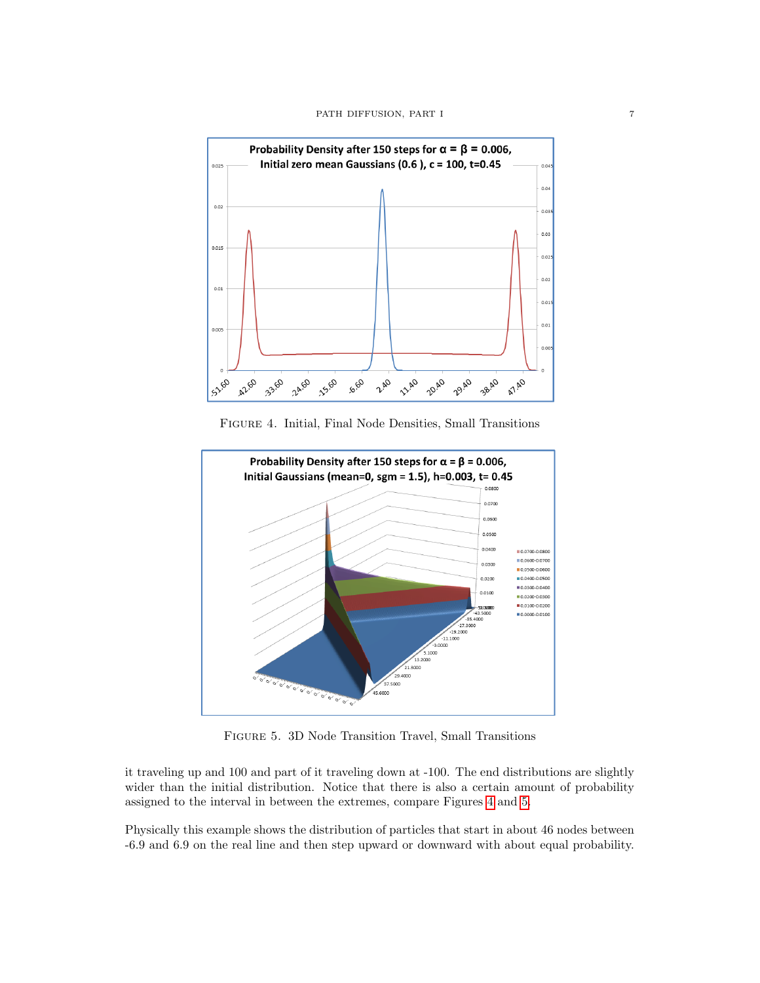<span id="page-6-0"></span>

Figure 4. Initial, Final Node Densities, Small Transitions

<span id="page-6-1"></span>

Figure 5. 3D Node Transition Travel, Small Transitions

it traveling up and 100 and part of it traveling down at -100. The end distributions are slightly wider than the initial distribution. Notice that there is also a certain amount of probability assigned to the interval in between the extremes, compare Figures [4](#page-6-0) and [5.](#page-6-1)

Physically this example shows the distribution of particles that start in about 46 nodes between -6.9 and 6.9 on the real line and then step upward or downward with about equal probability.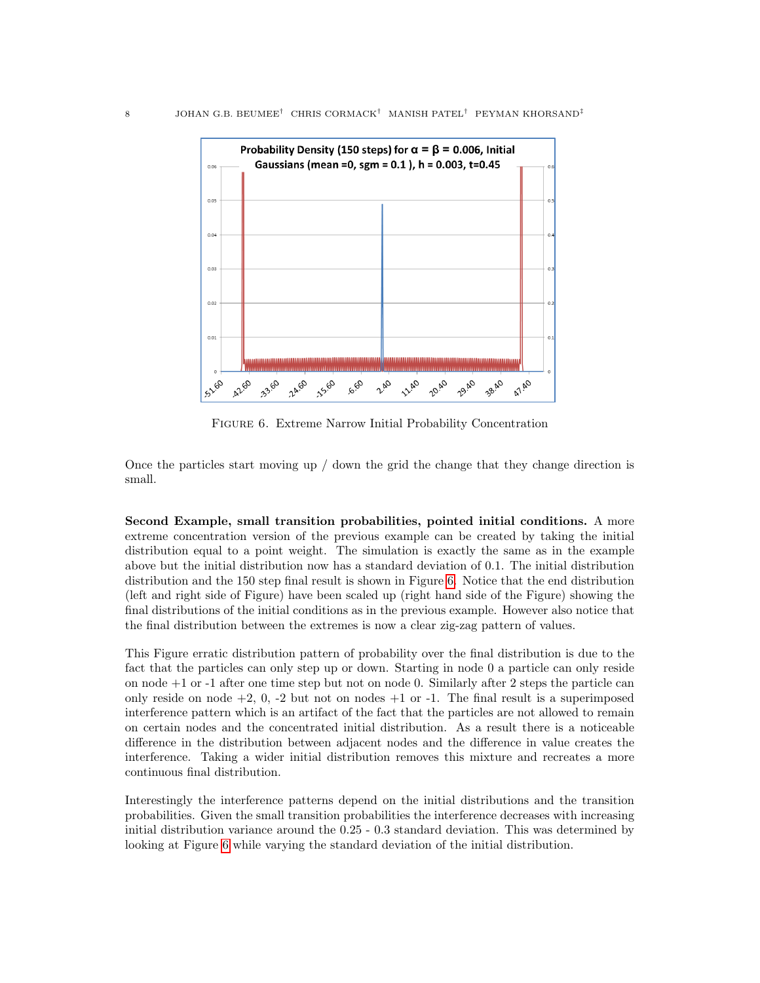<span id="page-7-0"></span>

Figure 6. Extreme Narrow Initial Probability Concentration

Once the particles start moving up / down the grid the change that they change direction is small.

Second Example, small transition probabilities, pointed initial conditions. A more extreme concentration version of the previous example can be created by taking the initial distribution equal to a point weight. The simulation is exactly the same as in the example above but the initial distribution now has a standard deviation of 0.1. The initial distribution distribution and the 150 step final result is shown in Figure [6.](#page-7-0) Notice that the end distribution (left and right side of Figure) have been scaled up (right hand side of the Figure) showing the final distributions of the initial conditions as in the previous example. However also notice that the final distribution between the extremes is now a clear zig-zag pattern of values.

This Figure erratic distribution pattern of probability over the final distribution is due to the fact that the particles can only step up or down. Starting in node 0 a particle can only reside on node +1 or -1 after one time step but not on node 0. Similarly after 2 steps the particle can only reside on node  $+2$ , 0,  $-2$  but not on nodes  $+1$  or  $-1$ . The final result is a superimposed interference pattern which is an artifact of the fact that the particles are not allowed to remain on certain nodes and the concentrated initial distribution. As a result there is a noticeable difference in the distribution between adjacent nodes and the difference in value creates the interference. Taking a wider initial distribution removes this mixture and recreates a more continuous final distribution.

Interestingly the interference patterns depend on the initial distributions and the transition probabilities. Given the small transition probabilities the interference decreases with increasing initial distribution variance around the 0.25 - 0.3 standard deviation. This was determined by looking at Figure [6](#page-7-0) while varying the standard deviation of the initial distribution.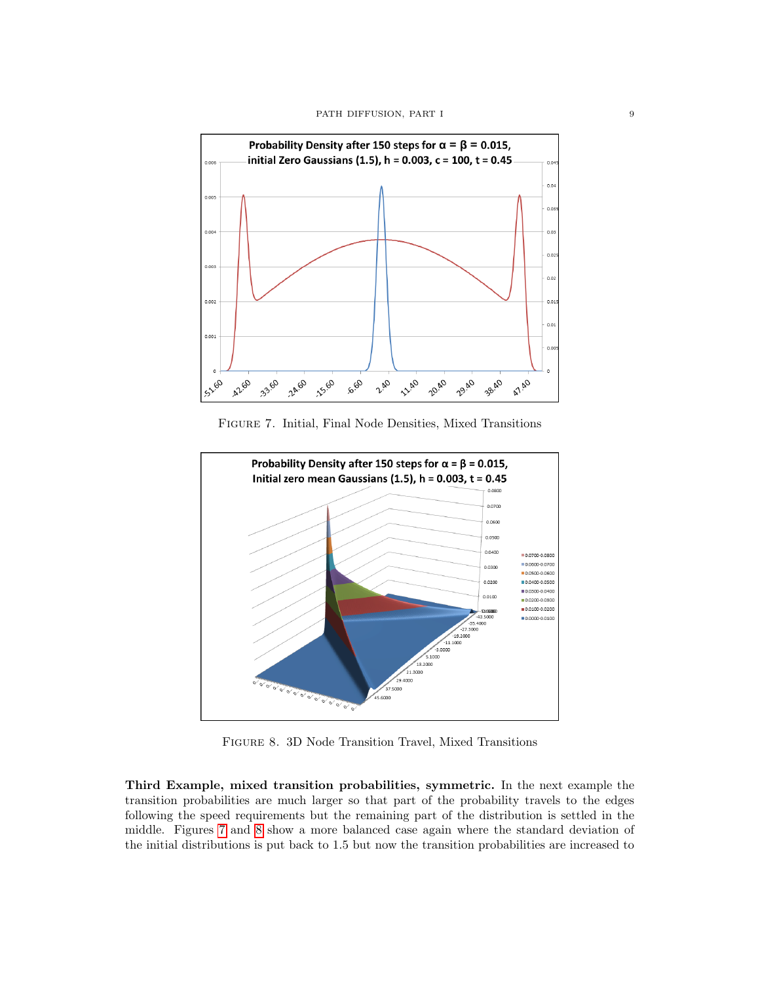<span id="page-8-0"></span>

Figure 7. Initial, Final Node Densities, Mixed Transitions

<span id="page-8-1"></span>

Figure 8. 3D Node Transition Travel, Mixed Transitions

Third Example, mixed transition probabilities, symmetric. In the next example the transition probabilities are much larger so that part of the probability travels to the edges following the speed requirements but the remaining part of the distribution is settled in the middle. Figures [7](#page-8-0) and [8](#page-8-1) show a more balanced case again where the standard deviation of the initial distributions is put back to 1.5 but now the transition probabilities are increased to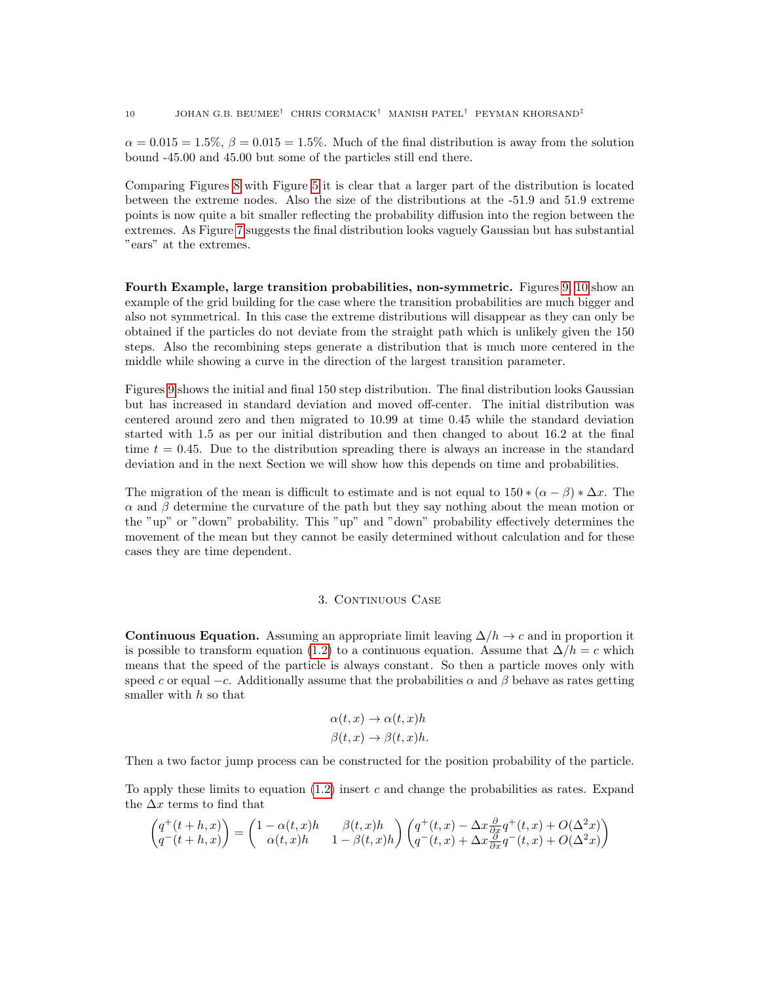$\alpha = 0.015 = 1.5\%, \beta = 0.015 = 1.5\%$ . Much of the final distribution is away from the solution bound -45.00 and 45.00 but some of the particles still end there.

Comparing Figures [8](#page-8-1) with Figure [5](#page-6-1) it is clear that a larger part of the distribution is located between the extreme nodes. Also the size of the distributions at the -51.9 and 51.9 extreme points is now quite a bit smaller reflecting the probability diffusion into the region between the extremes. As Figure [7](#page-8-0) suggests the final distribution looks vaguely Gaussian but has substantial "ears" at the extremes.

Fourth Example, large transition probabilities, non-symmetric. Figures [9,](#page-10-0) [10](#page-10-1) show an example of the grid building for the case where the transition probabilities are much bigger and also not symmetrical. In this case the extreme distributions will disappear as they can only be obtained if the particles do not deviate from the straight path which is unlikely given the 150 steps. Also the recombining steps generate a distribution that is much more centered in the middle while showing a curve in the direction of the largest transition parameter.

Figures [9](#page-10-0) shows the initial and final 150 step distribution. The final distribution looks Gaussian but has increased in standard deviation and moved off-center. The initial distribution was centered around zero and then migrated to 10.99 at time 0.45 while the standard deviation started with 1.5 as per our initial distribution and then changed to about 16.2 at the final time  $t = 0.45$ . Due to the distribution spreading there is always an increase in the standard deviation and in the next Section we will show how this depends on time and probabilities.

The migration of the mean is difficult to estimate and is not equal to  $150 * (\alpha - \beta) * \Delta x$ . The  $\alpha$  and  $\beta$  determine the curvature of the path but they say nothing about the mean motion or the "up" or "down" probability. This "up" and "down" probability effectively determines the movement of the mean but they cannot be easily determined without calculation and for these cases they are time dependent.

# 3. CONTINUOUS CASE

<span id="page-9-1"></span><span id="page-9-0"></span>Continuous Equation. Assuming an appropriate limit leaving  $\Delta/h \to c$  and in proportion it is possible to transform equation [\(1.2\)](#page-3-1) to a continuous equation. Assume that  $\Delta/h = c$  which means that the speed of the particle is always constant. So then a particle moves only with speed c or equal  $-c$ . Additionally assume that the probabilities  $\alpha$  and  $\beta$  behave as rates getting smaller with  $h$  so that

$$
\alpha(t, x) \to \alpha(t, x)h
$$

$$
\beta(t, x) \to \beta(t, x)h.
$$

Then a two factor jump process can be constructed for the position probability of the particle.

To apply these limits to equation  $(1.2)$  insert c and change the probabilities as rates. Expand the  $\Delta x$  terms to find that

$$
\begin{pmatrix} q^+(t+h,x) \\ q^-(t+h,x) \end{pmatrix} = \begin{pmatrix} 1 - \alpha(t,x)h & \beta(t,x)h \\ \alpha(t,x)h & 1 - \beta(t,x)h \end{pmatrix} \begin{pmatrix} q^+(t,x) - \Delta x \frac{\partial}{\partial x} q^+(t,x) + O(\Delta^2 x) \\ q^-(t,x) + \Delta x \frac{\partial}{\partial x} q^-(t,x) + O(\Delta^2 x) \end{pmatrix}
$$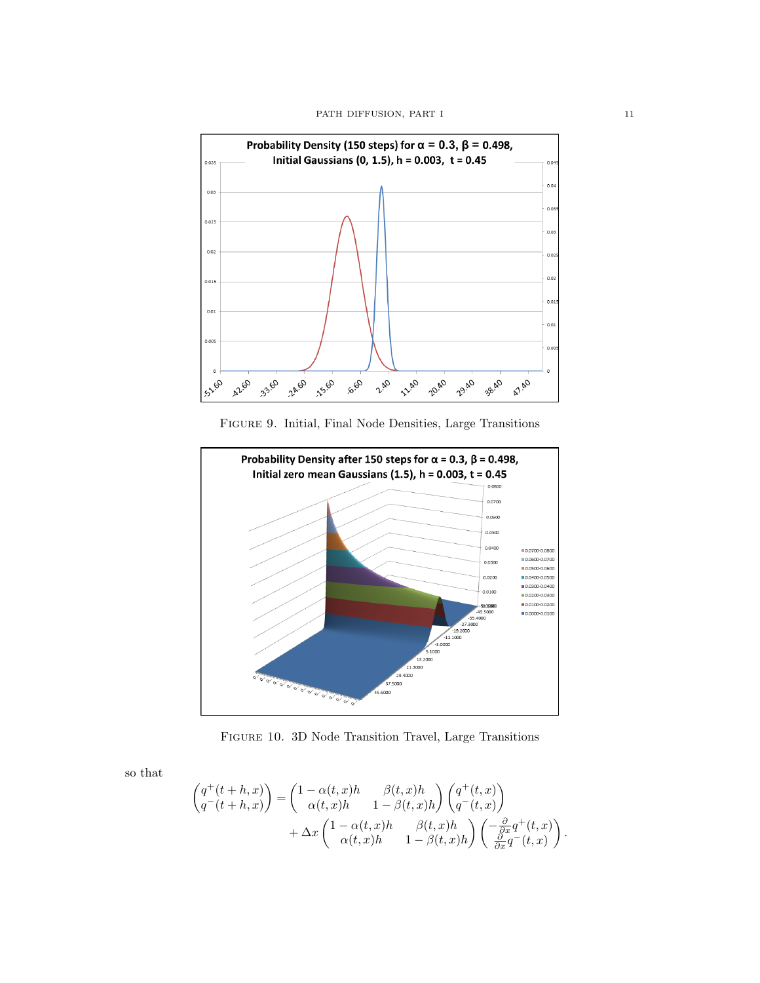<span id="page-10-0"></span>

Figure 9. Initial, Final Node Densities, Large Transitions

<span id="page-10-1"></span>

Figure 10. 3D Node Transition Travel, Large Transitions

so that

$$
\begin{split} \begin{pmatrix} q^+(t+h,x) \\ q^-(t+h,x) \end{pmatrix} =& \begin{pmatrix} 1-\alpha(t,x)h & \beta(t,x)h \\ \alpha(t,x)h & 1-\beta(t,x)h \end{pmatrix} \begin{pmatrix} q^+(t,x) \\ q^-(t,x) \end{pmatrix} \\ & + \Delta x \begin{pmatrix} 1-\alpha(t,x)h & \beta(t,x)h \\ \alpha(t,x)h & 1-\beta(t,x)h \end{pmatrix} \begin{pmatrix} -\frac{\partial}{\partial x}q^+(t,x) \\ \frac{\partial}{\partial x}q^-(t,x) \end{pmatrix}. \end{split}
$$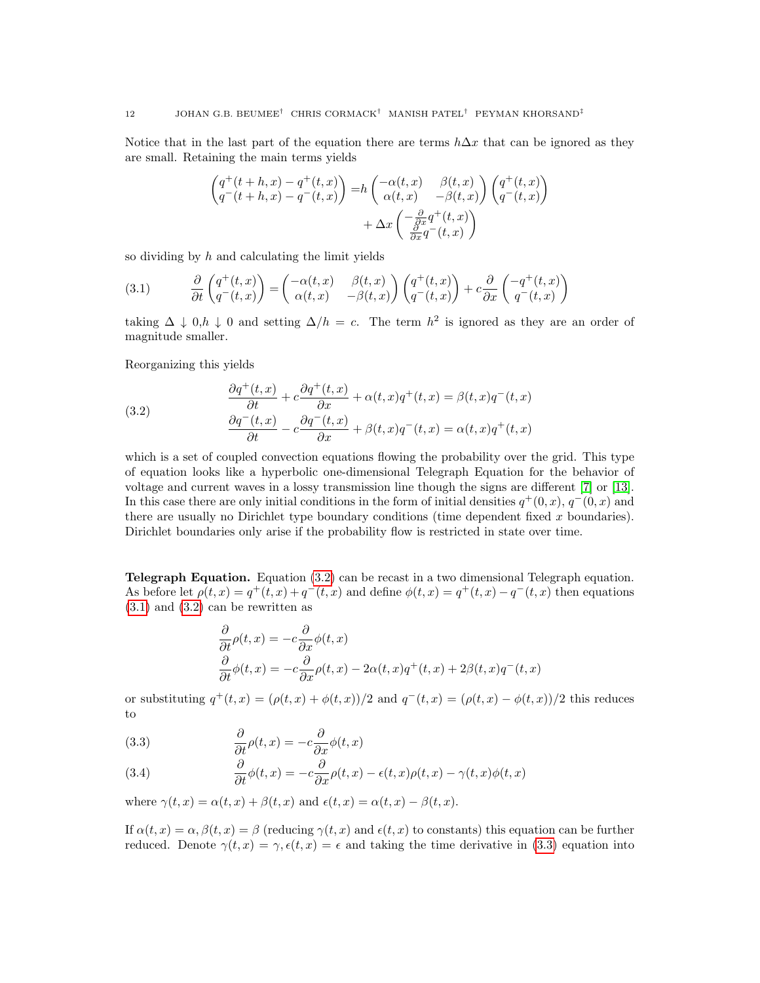Notice that in the last part of the equation there are terms  $h\Delta x$  that can be ignored as they are small. Retaining the main terms yields

$$
\begin{aligned}\n\left(q^+(t+h,x) - q^+(t,x)\right) &= h\left(\begin{matrix}\n-\alpha(t,x) & \beta(t,x) \\
\alpha(t,x) & -\beta(t,x)\n\end{matrix}\right)\n\left(\begin{matrix}\nq^+(t,x) \\
q^-(t,x)\n\end{matrix}\right) \\
&+ \Delta x \left(\begin{matrix}\n\frac{\partial}{\partial x}q^+(t,x) \\
\frac{\partial}{\partial x}q^-(t,x)\n\end{matrix}\right)\n\end{aligned}
$$

so dividing by  $h$  and calculating the limit yields

<span id="page-11-1"></span>(3.1) 
$$
\frac{\partial}{\partial t} \begin{pmatrix} q^+(t,x) \\ q^-(t,x) \end{pmatrix} = \begin{pmatrix} -\alpha(t,x) & \beta(t,x) \\ \alpha(t,x) & -\beta(t,x) \end{pmatrix} \begin{pmatrix} q^+(t,x) \\ q^-(t,x) \end{pmatrix} + c \frac{\partial}{\partial x} \begin{pmatrix} -q^+(t,x) \\ q^-(t,x) \end{pmatrix}
$$

taking  $\Delta \downarrow 0, h \downarrow 0$  and setting  $\Delta/h = c$ . The term  $h^2$  is ignored as they are an order of magnitude smaller.

Reorganizing this yields

<span id="page-11-0"></span>(3.2) 
$$
\frac{\partial q^+(t,x)}{\partial t} + c \frac{\partial q^+(t,x)}{\partial x} + \alpha(t,x)q^+(t,x) = \beta(t,x)q^-(t,x) \n\frac{\partial q^-(t,x)}{\partial t} - c \frac{\partial q^-(t,x)}{\partial x} + \beta(t,x)q^-(t,x) = \alpha(t,x)q^+(t,x)
$$

which is a set of coupled convection equations flowing the probability over the grid. This type of equation looks like a hyperbolic one-dimensional Telegraph Equation for the behavior of voltage and current waves in a lossy transmission line though the signs are different [\[7\]](#page-27-1) or [\[13\]](#page-27-2). In this case there are only initial conditions in the form of initial densities  $q^+(0, x)$ ,  $q^-(0, x)$  and there are usually no Dirichlet type boundary conditions (time dependent fixed  $x$  boundaries). Dirichlet boundaries only arise if the probability flow is restricted in state over time.

Telegraph Equation. Equation [\(3.2\)](#page-11-0) can be recast in a two dimensional Telegraph equation. As before let  $\rho(t, x) = q^+(t, x) + q^-(t, x)$  and define  $\phi(t, x) = q^+(t, x) - q^-(t, x)$  then equations  $(3.1)$  and  $(3.2)$  can be rewritten as

$$
\frac{\partial}{\partial t}\rho(t,x) = -c\frac{\partial}{\partial x}\phi(t,x)
$$

$$
\frac{\partial}{\partial t}\phi(t,x) = -c\frac{\partial}{\partial x}\rho(t,x) - 2\alpha(t,x)q^+(t,x) + 2\beta(t,x)q^-(t,x)
$$

or substituting  $q^+(t, x) = (\rho(t, x) + \phi(t, x))/2$  and  $q^-(t, x) = (\rho(t, x) - \phi(t, x))/2$  this reduces to

<span id="page-11-2"></span>(3.3) 
$$
\frac{\partial}{\partial t}\rho(t,x) = -c\frac{\partial}{\partial x}\phi(t,x)
$$

<span id="page-11-3"></span>(3.4) 
$$
\frac{\partial}{\partial t}\phi(t,x) = -c\frac{\partial}{\partial x}\rho(t,x) - \epsilon(t,x)\rho(t,x) - \gamma(t,x)\phi(t,x)
$$

where  $\gamma(t, x) = \alpha(t, x) + \beta(t, x)$  and  $\epsilon(t, x) = \alpha(t, x) - \beta(t, x)$ .

If  $\alpha(t, x) = \alpha, \beta(t, x) = \beta$  (reducing  $\gamma(t, x)$  and  $\epsilon(t, x)$  to constants) this equation can be further reduced. Denote  $\gamma(t, x) = \gamma, \epsilon(t, x) = \epsilon$  and taking the time derivative in [\(3.3\)](#page-11-2) equation into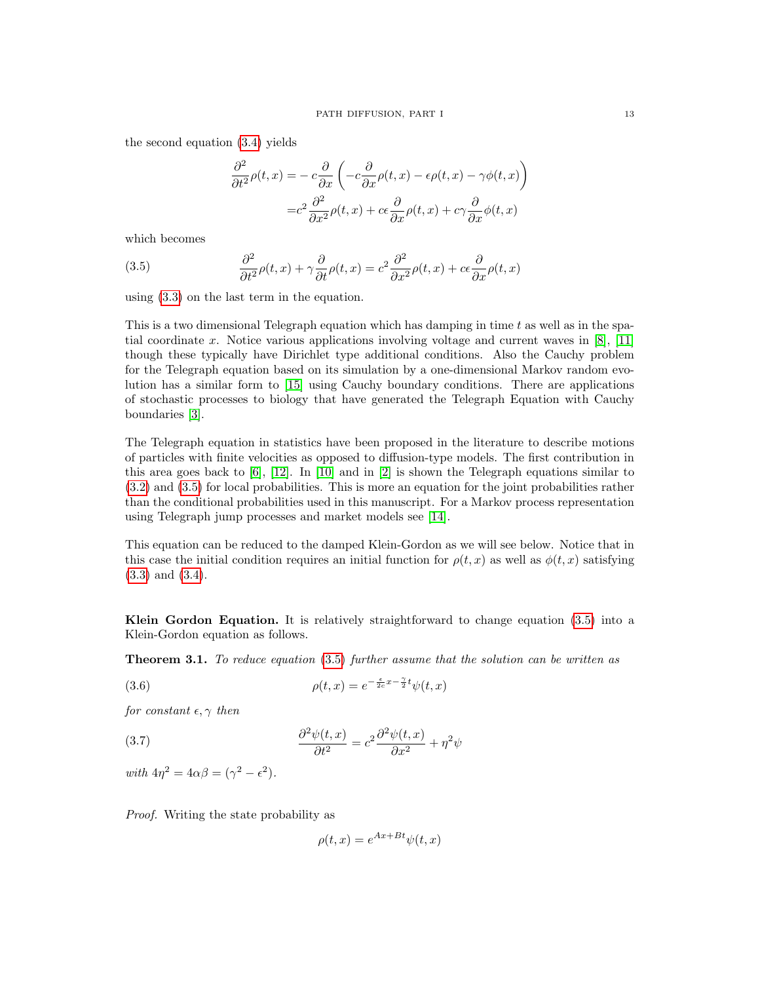the second equation [\(3.4\)](#page-11-3) yields

$$
\frac{\partial^2}{\partial t^2} \rho(t, x) = -c \frac{\partial}{\partial x} \left( -c \frac{\partial}{\partial x} \rho(t, x) - \epsilon \rho(t, x) - \gamma \phi(t, x) \right)
$$

$$
= c^2 \frac{\partial^2}{\partial x^2} \rho(t, x) + c \epsilon \frac{\partial}{\partial x} \rho(t, x) + c \gamma \frac{\partial}{\partial x} \phi(t, x)
$$

which becomes

<span id="page-12-0"></span>(3.5) 
$$
\frac{\partial^2}{\partial t^2} \rho(t, x) + \gamma \frac{\partial}{\partial t} \rho(t, x) = c^2 \frac{\partial^2}{\partial x^2} \rho(t, x) + c \epsilon \frac{\partial}{\partial x} \rho(t, x)
$$

using [\(3.3\)](#page-11-2) on the last term in the equation.

This is a two dimensional Telegraph equation which has damping in time t as well as in the spatial coordinate x. Notice various applications involving voltage and current waves in  $[8]$ ,  $[11]$ though these typically have Dirichlet type additional conditions. Also the Cauchy problem for the Telegraph equation based on its simulation by a one-dimensional Markov random evolution has a similar form to [\[15\]](#page-27-5) using Cauchy boundary conditions. There are applications of stochastic processes to biology that have generated the Telegraph Equation with Cauchy boundaries [\[3\]](#page-27-6).

The Telegraph equation in statistics have been proposed in the literature to describe motions of particles with finite velocities as opposed to diffusion-type models. The first contribution in this area goes back to  $[6]$ ,  $[12]$ . In  $[10]$  and in  $[2]$  is shown the Telegraph equations similar to [\(3.2\)](#page-11-0) and [\(3.5\)](#page-12-0) for local probabilities. This is more an equation for the joint probabilities rather than the conditional probabilities used in this manuscript. For a Markov process representation using Telegraph jump processes and market models see [\[14\]](#page-27-11).

This equation can be reduced to the damped Klein-Gordon as we will see below. Notice that in this case the initial condition requires an initial function for  $\rho(t, x)$  as well as  $\phi(t, x)$  satisfying [\(3.3\)](#page-11-2) and [\(3.4\)](#page-11-3).

Klein Gordon Equation. It is relatively straightforward to change equation  $(3.5)$  into a Klein-Gordon equation as follows.

<span id="page-12-2"></span>**Theorem 3.1.** To reduce equation [\(3.5\)](#page-12-0) further assume that the solution can be written as

<span id="page-12-3"></span>(3.6) 
$$
\rho(t,x) = e^{-\frac{\epsilon}{2c}x - \frac{\gamma}{2}t}\psi(t,x)
$$

for constant  $\epsilon, \gamma$  then

<span id="page-12-1"></span>(3.7) 
$$
\frac{\partial^2 \psi(t,x)}{\partial t^2} = c^2 \frac{\partial^2 \psi(t,x)}{\partial x^2} + \eta^2 \psi
$$

with  $4\eta^2 = 4\alpha\beta = (\gamma^2 - \epsilon^2)$ .

Proof. Writing the state probability as

$$
\rho(t,x) = e^{Ax + Bt} \psi(t,x)
$$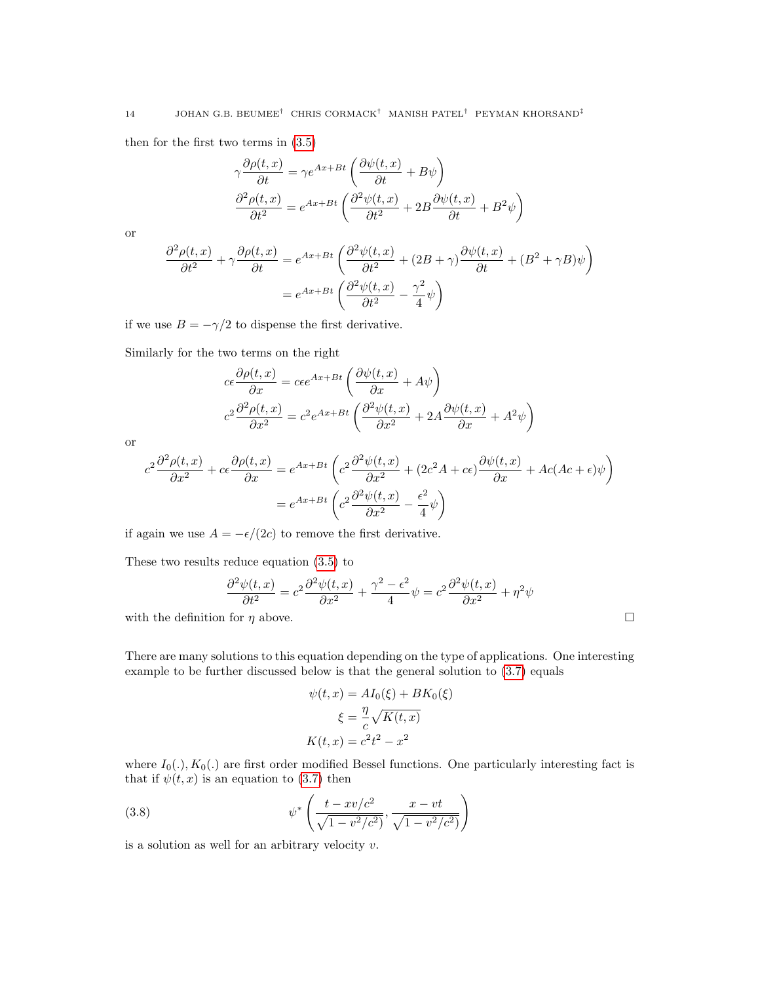then for the first two terms in [\(3.5\)](#page-12-0)

$$
\gamma \frac{\partial \rho(t, x)}{\partial t} = \gamma e^{Ax + Bt} \left( \frac{\partial \psi(t, x)}{\partial t} + B\psi \right)
$$

$$
\frac{\partial^2 \rho(t, x)}{\partial t^2} = e^{Ax + Bt} \left( \frac{\partial^2 \psi(t, x)}{\partial t^2} + 2B \frac{\partial \psi(t, x)}{\partial t} + B^2 \psi \right)
$$

or

$$
\frac{\partial^2 \rho(t,x)}{\partial t^2} + \gamma \frac{\partial \rho(t,x)}{\partial t} = e^{Ax + Bt} \left( \frac{\partial^2 \psi(t,x)}{\partial t^2} + (2B + \gamma) \frac{\partial \psi(t,x)}{\partial t} + (B^2 + \gamma B) \psi \right)
$$

$$
= e^{Ax + Bt} \left( \frac{\partial^2 \psi(t,x)}{\partial t^2} - \frac{\gamma^2}{4} \psi \right)
$$

if we use  $B=-\gamma/2$  to dispense the first derivative.

Similarly for the two terms on the right

$$
ce \frac{\partial \rho(t,x)}{\partial x} = c\epsilon e^{Ax+Bt} \left( \frac{\partial \psi(t,x)}{\partial x} + A\psi \right)
$$
  

$$
c^2 \frac{\partial^2 \rho(t,x)}{\partial x^2} = c^2 e^{Ax+Bt} \left( \frac{\partial^2 \psi(t,x)}{\partial x^2} + 2A \frac{\partial \psi(t,x)}{\partial x} + A^2 \psi \right)
$$

or

$$
c^{2} \frac{\partial^{2} \rho(t,x)}{\partial x^{2}} + c \epsilon \frac{\partial \rho(t,x)}{\partial x} = e^{Ax+Bt} \left( c^{2} \frac{\partial^{2} \psi(t,x)}{\partial x^{2}} + (2c^{2}A + c\epsilon) \frac{\partial \psi(t,x)}{\partial x} + Ac(Ac + \epsilon) \psi \right)
$$

$$
= e^{Ax+Bt} \left( c^{2} \frac{\partial^{2} \psi(t,x)}{\partial x^{2}} - \frac{\epsilon^{2}}{4} \psi \right)
$$

if again we use  $A = -\epsilon/(2c)$  to remove the first derivative.

These two results reduce equation [\(3.5\)](#page-12-0) to

$$
\frac{\partial^2 \psi(t, x)}{\partial t^2} = c^2 \frac{\partial^2 \psi(t, x)}{\partial x^2} + \frac{\gamma^2 - \epsilon^2}{4} \psi = c^2 \frac{\partial^2 \psi(t, x)}{\partial x^2} + \eta^2 \psi
$$

with the definition for  $\eta$  above.

There are many solutions to this equation depending on the type of applications. One interesting example to be further discussed below is that the general solution to [\(3.7\)](#page-12-1) equals

$$
\psi(t, x) = AI_0(\xi) + BK_0(\xi)
$$

$$
\xi = \frac{\eta}{c} \sqrt{K(t, x)}
$$

$$
K(t, x) = c^2 t^2 - x^2
$$

where  $I_0(.)$ ,  $K_0(.)$  are first order modified Bessel functions. One particularly interesting fact is that if  $\psi(t, x)$  is an equation to [\(3.7\)](#page-12-1) then

<span id="page-13-0"></span>(3.8) 
$$
\psi^* \left( \frac{t - xv/c^2}{\sqrt{1 - v^2/c^2}}, \frac{x - vt}{\sqrt{1 - v^2/c^2}} \right)
$$

is a solution as well for an arbitrary velocity  $v$ .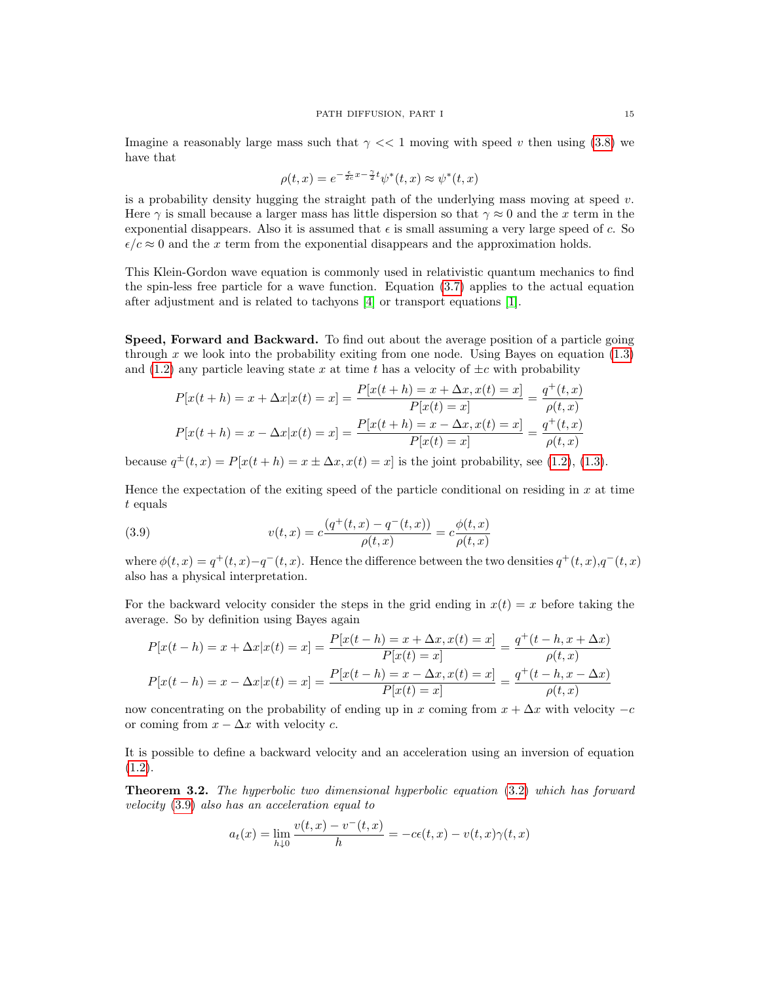Imagine a reasonably large mass such that  $\gamma \ll 1$  moving with speed v then using [\(3.8\)](#page-13-0) we have that

$$
\rho(t,x) = e^{-\frac{\epsilon}{2c}x - \frac{\gamma}{2}t} \psi^*(t,x) \approx \psi^*(t,x)
$$

is a probability density hugging the straight path of the underlying mass moving at speed  $v$ . Here  $\gamma$  is small because a larger mass has little dispersion so that  $\gamma \approx 0$  and the x term in the exponential disappears. Also it is assumed that  $\epsilon$  is small assuming a very large speed of c. So  $\epsilon/c \approx 0$  and the x term from the exponential disappears and the approximation holds.

This Klein-Gordon wave equation is commonly used in relativistic quantum mechanics to find the spin-less free particle for a wave function. Equation [\(3.7\)](#page-12-1) applies to the actual equation after adjustment and is related to tachyons [\[4\]](#page-27-12) or transport equations [\[1\]](#page-27-13).

Speed, Forward and Backward. To find out about the average position of a particle going through x we look into the probability exiting from one node. Using Bayes on equation  $(1.3)$ and [\(1.2\)](#page-3-1) any particle leaving state x at time t has a velocity of  $\pm c$  with probability

$$
P[x(t+h) = x + \Delta x | x(t) = x] = \frac{P[x(t+h) = x + \Delta x, x(t) = x]}{P[x(t) = x]} = \frac{q^+(t,x)}{\rho(t,x)}
$$

$$
P[x(t+h) = x - \Delta x | x(t) = x] = \frac{P[x(t+h) = x - \Delta x, x(t) = x]}{P[x(t) = x]} = \frac{q^+(t,x)}{\rho(t,x)}
$$

because  $q^{\pm}(t,x) = P[x(t+h) = x \pm \Delta x, x(t) = x]$  is the joint probability, see [\(1.2\)](#page-3-1), [\(1.3\)](#page-3-2).

Hence the expectation of the exiting speed of the particle conditional on residing in  $x$  at time t equals

<span id="page-14-0"></span>(3.9) 
$$
v(t,x) = c \frac{(q^+(t,x) - q^-(t,x))}{\rho(t,x)} = c \frac{\phi(t,x)}{\rho(t,x)}
$$

where  $\phi(t,x) = q^+(t,x) - q^-(t,x)$ . Hence the difference between the two densities  $q^+(t,x)$ ,  $q^-(t,x)$ also has a physical interpretation.

For the backward velocity consider the steps in the grid ending in  $x(t) = x$  before taking the average. So by definition using Bayes again

$$
P[x(t-h) = x + \Delta x | x(t) = x] = \frac{P[x(t-h) = x + \Delta x, x(t) = x]}{P[x(t) = x]} = \frac{q^+(t-h, x + \Delta x)}{\rho(t, x)}
$$

$$
P[x(t-h) = x - \Delta x | x(t) = x] = \frac{P[x(t-h) = x - \Delta x, x(t) = x]}{P[x(t) = x]} = \frac{q^+(t-h, x - \Delta x)}{\rho(t, x)}
$$

now concentrating on the probability of ending up in x coming from  $x + \Delta x$  with velocity  $-c$ or coming from  $x - \Delta x$  with velocity c.

It is possible to define a backward velocity and an acceleration using an inversion of equation  $(1.2).$  $(1.2).$ 

<span id="page-14-1"></span>Theorem 3.2. The hyperbolic two dimensional hyperbolic equation [\(3.2\)](#page-11-0) which has forward velocity [\(3.9\)](#page-14-0) also has an acceleration equal to

$$
a_t(x) = \lim_{h \downarrow 0} \frac{v(t, x) - v^-(t, x)}{h} = -c\epsilon(t, x) - v(t, x)\gamma(t, x)
$$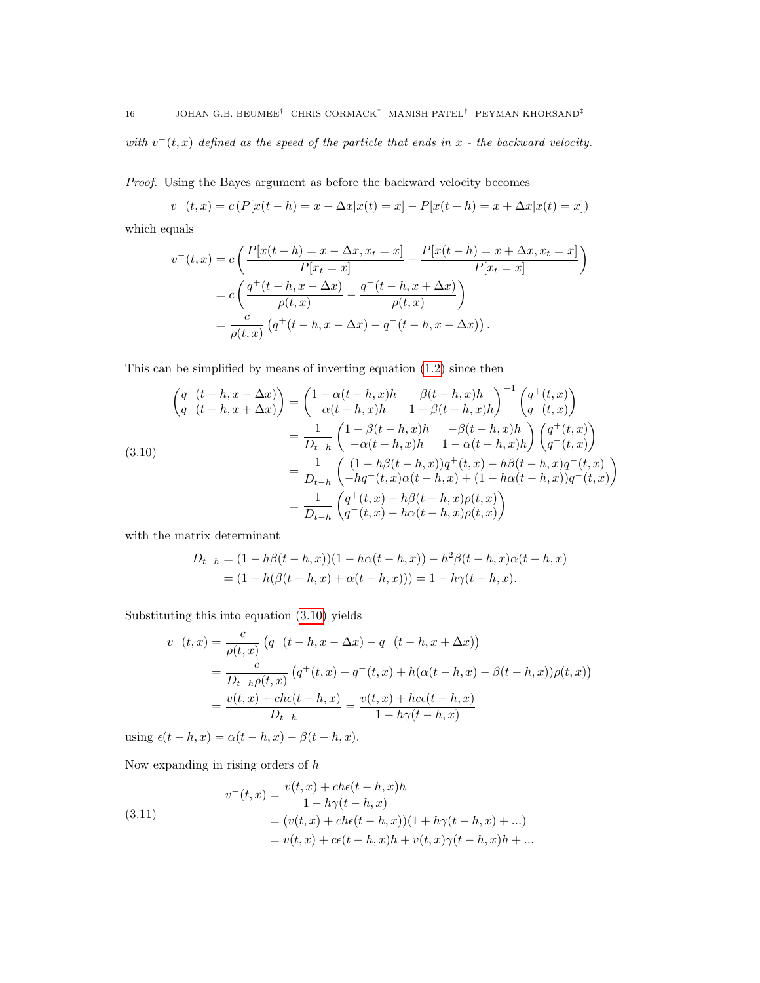with  $v^-(t,x)$  defined as the speed of the particle that ends in x - the backward velocity.

Proof. Using the Bayes argument as before the backward velocity becomes

$$
v^{-}(t,x) = c \left( P[x(t-h) = x - \Delta x | x(t) = x] - P[x(t-h) = x + \Delta x | x(t) = x] \right)
$$

which equals

$$
v^{-}(t,x) = c \left( \frac{P[x(t-h) = x - \Delta x, x_t = x]}{P[x_t = x]} - \frac{P[x(t-h) = x + \Delta x, x_t = x]}{P[x_t = x]} \right)
$$
  
= 
$$
c \left( \frac{q^{+}(t-h, x - \Delta x)}{\rho(t, x)} - \frac{q^{-}(t-h, x + \Delta x)}{\rho(t, x)} \right)
$$
  
= 
$$
\frac{c}{\rho(t, x)} (q^{+}(t-h, x - \Delta x) - q^{-}(t-h, x + \Delta x)).
$$

This can be simplified by means of inverting equation [\(1.2\)](#page-3-1) since then

<span id="page-15-0"></span>
$$
\begin{aligned}\n\left(q^+(t-h, x - \Delta x)\right) &= \begin{pmatrix} 1 - \alpha(t-h, x)h & \beta(t-h, x)h \\ \alpha(t-h, x)h & 1 - \beta(t-h, x)h \end{pmatrix}^{-1} \begin{pmatrix} q^+(t, x) \\ q^-(t, x) \end{pmatrix} \\
&= \frac{1}{D_{t-h}} \begin{pmatrix} 1 - \beta(t-h, x)h & -\beta(t-h, x)h \\ -\alpha(t-h, x)h & 1 - \alpha(t-h, x)h \end{pmatrix} \begin{pmatrix} q^+(t, x) \\ q^-(t, x) \end{pmatrix} \\
&= \frac{1}{D_{t-h}} \begin{pmatrix} (1-h\beta(t-h, x))q^+(t, x) - h\beta(t-h, x)q^-(t, x) \\ -hq^+(t, x)\alpha(t-h, x) + (1-h\alpha(t-h, x)q^-(t, x) \end{pmatrix} \\
&= \frac{1}{D_{t-h}} \begin{pmatrix} q^+(t, x) - h\beta(t-h, x)\rho(t, x) \\ q^-(t, x) - h\alpha(t-h, x)\rho(t, x) \end{pmatrix}\n\end{aligned}
$$

with the matrix determinant

$$
D_{t-h} = (1 - h\beta(t - h, x))(1 - h\alpha(t - h, x)) - h^2\beta(t - h, x)\alpha(t - h, x)
$$
  
=  $(1 - h(\beta(t - h, x) + \alpha(t - h, x))) = 1 - h\gamma(t - h, x).$ 

Substituting this into equation [\(3.10\)](#page-15-0) yields

$$
v^{-}(t,x) = \frac{c}{\rho(t,x)} \left( q^{+}(t-h, x - \Delta x) - q^{-}(t-h, x + \Delta x) \right)
$$
  
= 
$$
\frac{c}{D_{t-h}\rho(t,x)} \left( q^{+}(t,x) - q^{-}(t,x) + h(\alpha(t-h,x) - \beta(t-h,x))\rho(t,x) \right)
$$
  
= 
$$
\frac{v(t,x) + ch\epsilon(t-h,x)}{D_{t-h}} = \frac{v(t,x) + hc\epsilon(t-h,x)}{1 - h\gamma(t-h,x)}
$$

using  $\epsilon(t - h, x) = \alpha(t - h, x) - \beta(t - h, x)$ .

Now expanding in rising orders of  $h$ 

<span id="page-15-1"></span>(3.11) 
$$
v^-(t,x) = \frac{v(t,x) + ch\epsilon(t-h,x)h}{1-h\gamma(t-h,x)}
$$

$$
= (v(t,x) + ch\epsilon(t-h,x))(1+h\gamma(t-h,x)+...)
$$

$$
= v(t,x) + c\epsilon(t-h,x)h + v(t,x)\gamma(t-h,x)h + ...
$$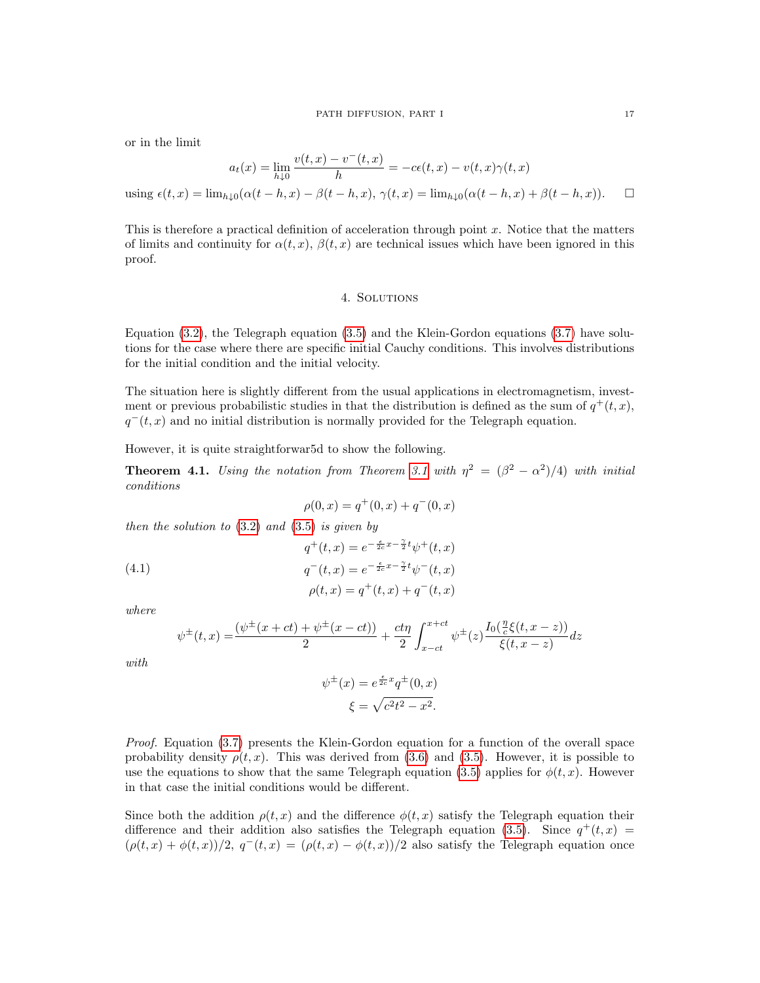#### PATH DIFFUSION, PART I 17

or in the limit

$$
a_t(x) = \lim_{h \downarrow 0} \frac{v(t, x) - v^-(t, x)}{h} = -c\epsilon(t, x) - v(t, x)\gamma(t, x)
$$
  
using  $\epsilon(t, x) = \lim_{h \downarrow 0} (\alpha(t - h, x) - \beta(t - h, x), \gamma(t, x) = \lim_{h \downarrow 0} (\alpha(t - h, x) + \beta(t - h, x)).$ 

This is therefore a practical definition of acceleration through point  $x$ . Notice that the matters of limits and continuity for  $\alpha(t, x)$ ,  $\beta(t, x)$  are technical issues which have been ignored in this proof.

### 4. Solutions

Equation  $(3.2)$ , the Telegraph equation  $(3.5)$  and the Klein-Gordon equations  $(3.7)$  have solutions for the case where there are specific initial Cauchy conditions. This involves distributions for the initial condition and the initial velocity.

The situation here is slightly different from the usual applications in electromagnetism, investment or previous probabilistic studies in that the distribution is defined as the sum of  $q^+(t,x)$ ,  $q^-(t, x)$  and no initial distribution is normally provided for the Telegraph equation.

However, it is quite straightforwar5d to show the following.

**Theorem 4.1.** Using the notation from Theorem [3.1](#page-12-2) with  $\eta^2 = (\beta^2 - \alpha^2)/4$  with initial conditions

$$
\rho(0, x) = q^+(0, x) + q^-(0, x)
$$

then the solution to  $(3.2)$  and  $(3.5)$  is given by

<span id="page-16-0"></span>(4.1) 
$$
q^{+}(t,x) = e^{-\frac{\epsilon}{2c}x - \frac{\gamma}{2}t}\psi^{+}(t,x)
$$

$$
q^{-}(t,x) = e^{-\frac{\epsilon}{2c}x - \frac{\gamma}{2}t}\psi^{-}(t,x)
$$

$$
\rho(t,x) = q^{+}(t,x) + q^{-}(t,x)
$$

where

$$
\psi^{\pm}(t,x) = \frac{(\psi^{\pm}(x+ct) + \psi^{\pm}(x-ct))}{2} + \frac{ct\eta}{2} \int_{x-ct}^{x+ct} \psi^{\pm}(z) \frac{I_0(\frac{\eta}{c}\xi(t,x-z))}{\xi(t,x-z)} dz
$$

with

$$
\psi^{\pm}(x) = e^{\frac{\epsilon}{2c}x} q^{\pm}(0, x)
$$

$$
\xi = \sqrt{c^2 t^2 - x^2}.
$$

Proof. Equation [\(3.7\)](#page-12-1) presents the Klein-Gordon equation for a function of the overall space probability density  $\rho(t, x)$ . This was derived from [\(3.6\)](#page-12-3) and [\(3.5\)](#page-12-0). However, it is possible to use the equations to show that the same Telegraph equation [\(3.5\)](#page-12-0) applies for  $\phi(t, x)$ . However in that case the initial conditions would be different.

Since both the addition  $\rho(t, x)$  and the difference  $\phi(t, x)$  satisfy the Telegraph equation their difference and their addition also satisfies the Telegraph equation [\(3.5\)](#page-12-0). Since  $q^+(t,x)$  $(\rho(t,x) + \phi(t,x))/2$ ,  $q^-(t,x) = (\rho(t,x) - \phi(t,x))/2$  also satisfy the Telegraph equation once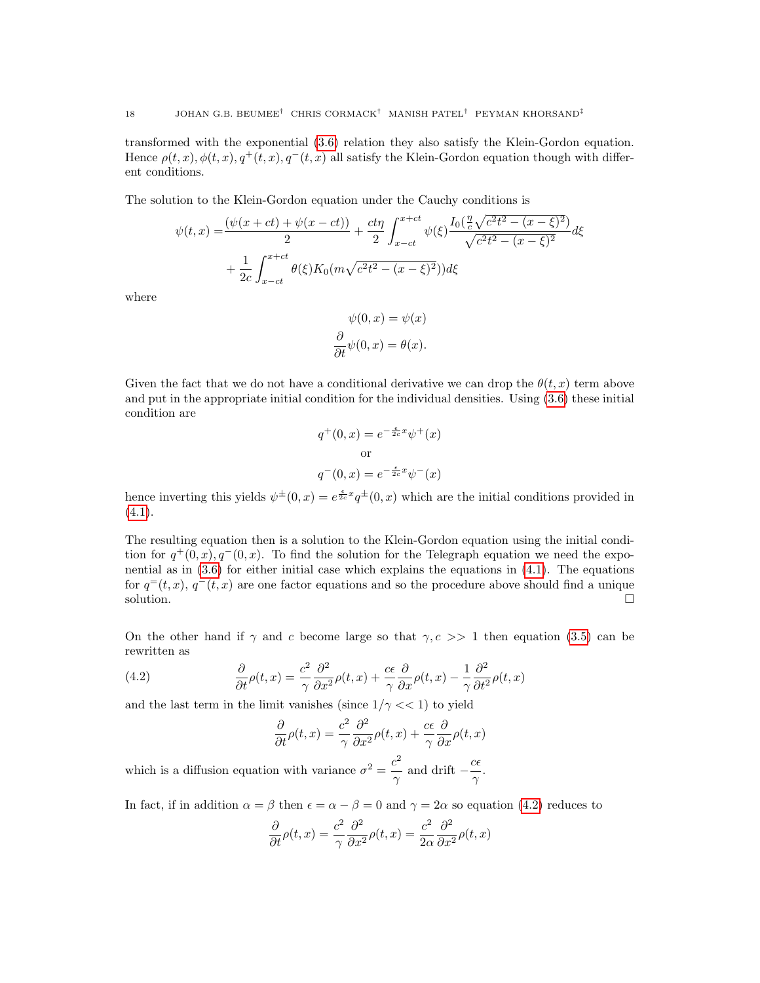transformed with the exponential [\(3.6\)](#page-12-3) relation they also satisfy the Klein-Gordon equation. Hence  $\rho(t, x)$ ,  $\phi(t, x)$ ,  $q^+(t, x)$ ,  $q^-(t, x)$  all satisfy the Klein-Gordon equation though with different conditions.

The solution to the Klein-Gordon equation under the Cauchy conditions is

$$
\psi(t,x) = \frac{(\psi(x+ct) + \psi(x-ct))}{2} + \frac{ct\eta}{2} \int_{x-ct}^{x+ct} \psi(\xi) \frac{I_0(\frac{\eta}{c} \sqrt{c^2 t^2 - (x-\xi)^2})}{\sqrt{c^2 t^2 - (x-\xi)^2}} d\xi
$$

$$
+ \frac{1}{2c} \int_{x-ct}^{x+ct} \theta(\xi) K_0(m\sqrt{c^2 t^2 - (x-\xi)^2}) d\xi
$$

where

$$
\psi(0, x) = \psi(x)
$$

$$
\frac{\partial}{\partial t}\psi(0, x) = \theta(x).
$$

Given the fact that we do not have a conditional derivative we can drop the  $\theta(t, x)$  term above and put in the appropriate initial condition for the individual densities. Using [\(3.6\)](#page-12-3) these initial condition are

$$
q^+(0, x) = e^{-\frac{\epsilon}{2c}x} \psi^+(x)
$$
  
or  

$$
q^-(0, x) = e^{-\frac{\epsilon}{2c}x} \psi^-(x)
$$

hence inverting this yields  $\psi^{\pm}(0, x) = e^{\frac{\epsilon}{2c}x} q^{\pm}(0, x)$  which are the initial conditions provided in  $(4.1).$  $(4.1).$ 

The resulting equation then is a solution to the Klein-Gordon equation using the initial condition for  $q^+(0, x)$ ,  $q^-(0, x)$ . To find the solution for the Telegraph equation we need the exponential as in [\(3.6\)](#page-12-3) for either initial case which explains the equations in [\(4.1\)](#page-16-0). The equations for  $q^{\dagger}(t, x)$ ,  $q^{\dagger}(t, x)$  are one factor equations and so the procedure above should find a unique solution.  $\Box$ 

On the other hand if  $\gamma$  and c become large so that  $\gamma$ ,  $c$  >> 1 then equation [\(3.5\)](#page-12-0) can be rewritten as

<span id="page-17-0"></span>(4.2) 
$$
\frac{\partial}{\partial t}\rho(t,x) = \frac{c^2}{\gamma}\frac{\partial^2}{\partial x^2}\rho(t,x) + \frac{c\epsilon}{\gamma}\frac{\partial}{\partial x}\rho(t,x) - \frac{1}{\gamma}\frac{\partial^2}{\partial t^2}\rho(t,x)
$$

and the last term in the limit vanishes (since  $1/\gamma \ll 1$ ) to yield

$$
\frac{\partial}{\partial t}\rho(t,x) = \frac{c^2}{\gamma} \frac{\partial^2}{\partial x^2} \rho(t,x) + \frac{c\epsilon}{\gamma} \frac{\partial}{\partial x}\rho(t,x)
$$

which is a diffusion equation with variance  $\sigma^2 = \frac{c^2}{\sqrt{2}}$  $\frac{c^2}{\gamma}$  and drift  $-\frac{c\epsilon}{\gamma}$  $\frac{\alpha}{\gamma}$ .

In fact, if in addition  $\alpha = \beta$  then  $\epsilon = \alpha - \beta = 0$  and  $\gamma = 2\alpha$  so equation [\(4.2\)](#page-17-0) reduces to

$$
\frac{\partial}{\partial t}\rho(t,x) = \frac{c^2}{\gamma} \frac{\partial^2}{\partial x^2} \rho(t,x) = \frac{c^2}{2\alpha} \frac{\partial^2}{\partial x^2} \rho(t,x)
$$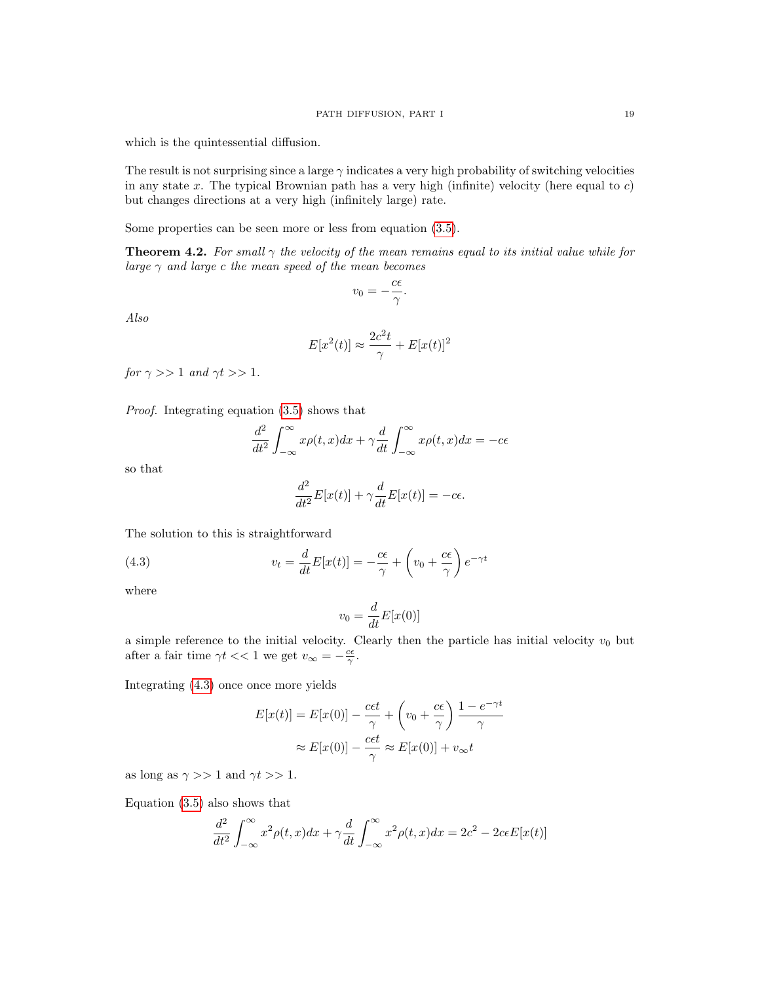which is the quintessential diffusion.

The result is not surprising since a large  $\gamma$  indicates a very high probability of switching velocities in any state x. The typical Brownian path has a very high (infinite) velocity (here equal to  $c$ ) but changes directions at a very high (infinitely large) rate.

Some properties can be seen more or less from equation [\(3.5\)](#page-12-0).

**Theorem 4.2.** For small  $\gamma$  the velocity of the mean remains equal to its initial value while for large  $\gamma$  and large c the mean speed of the mean becomes

$$
v_0 = -\frac{c\epsilon}{\gamma}.
$$

Also

$$
E[x^2(t)] \approx \frac{2c^2t}{\gamma} + E[x(t)]^2
$$

for  $\gamma >> 1$  and  $\gamma t >> 1$ .

Proof. Integrating equation [\(3.5\)](#page-12-0) shows that

$$
\frac{d^2}{dt^2} \int_{-\infty}^{\infty} x\rho(t, x) dx + \gamma \frac{d}{dt} \int_{-\infty}^{\infty} x\rho(t, x) dx = -c\epsilon
$$

so that

$$
\frac{d^2}{dt^2}E[x(t)] + \gamma \frac{d}{dt}E[x(t)] = -c\epsilon.
$$

The solution to this is straightforward

<span id="page-18-0"></span>(4.3) 
$$
v_t = \frac{d}{dt} E[x(t)] = -\frac{c\epsilon}{\gamma} + \left(v_0 + \frac{c\epsilon}{\gamma}\right) e^{-\gamma t}
$$

where

$$
v_0 = \frac{d}{dt}E[x(0)]
$$

a simple reference to the initial velocity. Clearly then the particle has initial velocity  $v_0$  but after a fair time  $\gamma t \ll 1$  we get  $v_{\infty} = -\frac{c\epsilon}{\gamma}$ .

Integrating [\(4.3\)](#page-18-0) once once more yields

$$
E[x(t)] = E[x(0)] - \frac{c\epsilon t}{\gamma} + \left(v_0 + \frac{c\epsilon}{\gamma}\right) \frac{1 - e^{-\gamma t}}{\gamma}
$$

$$
\approx E[x(0)] - \frac{c\epsilon t}{\gamma} \approx E[x(0)] + v_{\infty}t
$$

as long as  $\gamma >> 1$  and  $\gamma t >> 1$ .

Equation [\(3.5\)](#page-12-0) also shows that

$$
\frac{d^2}{dt^2} \int_{-\infty}^{\infty} x^2 \rho(t, x) dx + \gamma \frac{d}{dt} \int_{-\infty}^{\infty} x^2 \rho(t, x) dx = 2c^2 - 2c\epsilon E[x(t)]
$$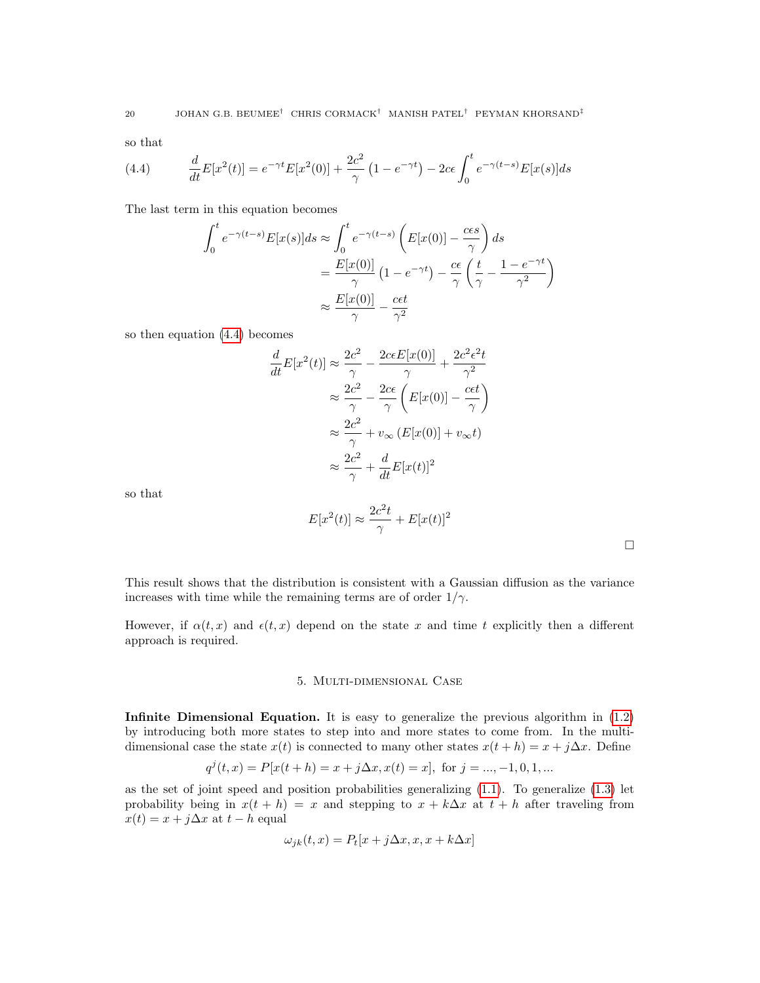so that

<span id="page-19-1"></span>(4.4) 
$$
\frac{d}{dt}E[x^2(t)] = e^{-\gamma t}E[x^2(0)] + \frac{2c^2}{\gamma} \left(1 - e^{-\gamma t}\right) - 2c\epsilon \int_0^t e^{-\gamma (t-s)}E[x(s)]ds
$$

The last term in this equation becomes

$$
\int_0^t e^{-\gamma(t-s)} E[x(s)]ds \approx \int_0^t e^{-\gamma(t-s)} \left( E[x(0)] - \frac{c\epsilon s}{\gamma} \right) ds
$$

$$
= \frac{E[x(0)]}{\gamma} \left( 1 - e^{-\gamma t} \right) - \frac{c\epsilon}{\gamma} \left( \frac{t}{\gamma} - \frac{1 - e^{-\gamma t}}{\gamma^2} \right)
$$

$$
\approx \frac{E[x(0)]}{\gamma} - \frac{c\epsilon t}{\gamma^2}
$$

so then equation [\(4.4\)](#page-19-1) becomes

$$
\frac{d}{dt}E[x^2(t)] \approx \frac{2c^2}{\gamma} - \frac{2ceE[x(0)]}{\gamma} + \frac{2c^2\epsilon^2t}{\gamma^2}
$$

$$
\approx \frac{2c^2}{\gamma} - \frac{2c\epsilon}{\gamma} \left( E[x(0)] - \frac{c\epsilon t}{\gamma} \right)
$$

$$
\approx \frac{2c^2}{\gamma} + v_{\infty} \left( E[x(0)] + v_{\infty}t \right)
$$

$$
\approx \frac{2c^2}{\gamma} + \frac{d}{dt} E[x(t)]^2
$$

so that

$$
E[x^2(t)] \approx \frac{2c^2t}{\gamma} + E[x(t)]^2
$$

 $\Box$ 

This result shows that the distribution is consistent with a Gaussian diffusion as the variance increases with time while the remaining terms are of order  $1/\gamma$ .

<span id="page-19-0"></span>However, if  $\alpha(t, x)$  and  $\epsilon(t, x)$  depend on the state x and time t explicitly then a different approach is required.

## 5. Multi-dimensional Case

Infinite Dimensional Equation. It is easy to generalize the previous algorithm in [\(1.2\)](#page-3-1) by introducing both more states to step into and more states to come from. In the multidimensional case the state  $x(t)$  is connected to many other states  $x(t + h) = x + j\Delta x$ . Define

$$
q^{j}(t,x)=P[x(t+h)=x+j\Delta x,x(t)=x],\text{ for }j=...,-1,0,1,...
$$

as the set of joint speed and position probabilities generalizing  $(1.1)$ . To generalize  $(1.3)$  let probability being in  $x(t + h) = x$  and stepping to  $x + k\Delta x$  at  $t + h$  after traveling from  $x(t) = x + j\Delta x$  at  $t - h$  equal

$$
\omega_{jk}(t,x) = P_t[x + j\Delta x, x, x + k\Delta x]
$$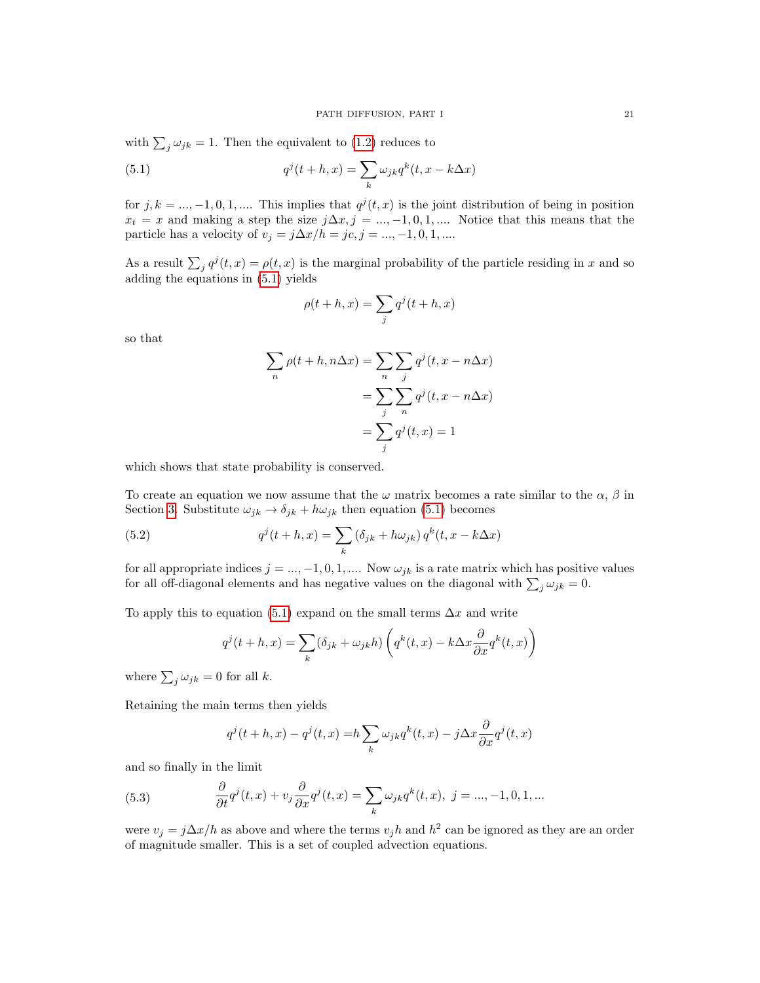with  $\sum_j \omega_{jk} = 1$ . Then the equivalent to [\(1.2\)](#page-3-1) reduces to

<span id="page-20-0"></span>(5.1) 
$$
q^{j}(t+h,x) = \sum_{k} \omega_{jk} q^{k}(t,x-k\Delta x)
$$

for  $j, k = ..., -1, 0, 1, ...$  This implies that  $q^{j}(t, x)$  is the joint distribution of being in position  $x_t = x$  and making a step the size  $j\Delta x, j = ..., -1, 0, 1, ...$  Notice that this means that the particle has a velocity of  $v_j = j\Delta x/h = jc, j = ..., -1, 0, 1, ...$ 

As a result  $\sum_j q^j(t, x) = \rho(t, x)$  is the marginal probability of the particle residing in x and so adding the equations in [\(5.1\)](#page-20-0) yields

$$
\rho(t+h,x) = \sum_{j} q^{j}(t+h,x)
$$

so that

$$
\sum_{n} \rho(t+h, n\Delta x) = \sum_{n} \sum_{j} q^{j}(t, x - n\Delta x)
$$

$$
= \sum_{j} \sum_{n} q^{j}(t, x - n\Delta x)
$$

$$
= \sum_{j} q^{j}(t, x) = 1
$$

which shows that state probability is conserved.

To create an equation we now assume that the  $\omega$  matrix becomes a rate similar to the  $\alpha$ ,  $\beta$  in Section [3.](#page-9-1) Substitute  $\omega_{jk} \rightarrow \delta_{jk} + h\omega_{jk}$  then equation [\(5.1\)](#page-20-0) becomes

<span id="page-20-2"></span>(5.2) 
$$
q^{j}(t+h,x) = \sum_{k} (\delta_{jk} + h\omega_{jk}) q^{k}(t,x - k\Delta x)
$$

for all appropriate indices  $j = ..., -1, 0, 1, ...$  Now  $\omega_{jk}$  is a rate matrix which has positive values for all off-diagonal elements and has negative values on the diagonal with  $\sum_j \omega_{jk} = 0$ .

To apply this to equation [\(5.1\)](#page-20-0) expand on the small terms  $\Delta x$  and write

$$
q^{j}(t+h,x) = \sum_{k} (\delta_{jk} + \omega_{jk}h) \left( q^{k}(t,x) - k\Delta x \frac{\partial}{\partial x} q^{k}(t,x) \right)
$$

where  $\sum_j \omega_{jk} = 0$  for all k.

Retaining the main terms then yields

$$
q^{j}(t+h,x) - q^{j}(t,x) = h \sum_{k} \omega_{jk} q^{k}(t,x) - j\Delta x \frac{\partial}{\partial x} q^{j}(t,x)
$$

and so finally in the limit

<span id="page-20-1"></span>(5.3) 
$$
\frac{\partial}{\partial t}q^{j}(t,x)+v_{j}\frac{\partial}{\partial x}q^{j}(t,x)=\sum_{k}\omega_{jk}q^{k}(t,x), \ j=...,-1,0,1,...
$$

were  $v_j = j\Delta x/h$  as above and where the terms  $v_j h$  and  $h^2$  can be ignored as they are an order of magnitude smaller. This is a set of coupled advection equations.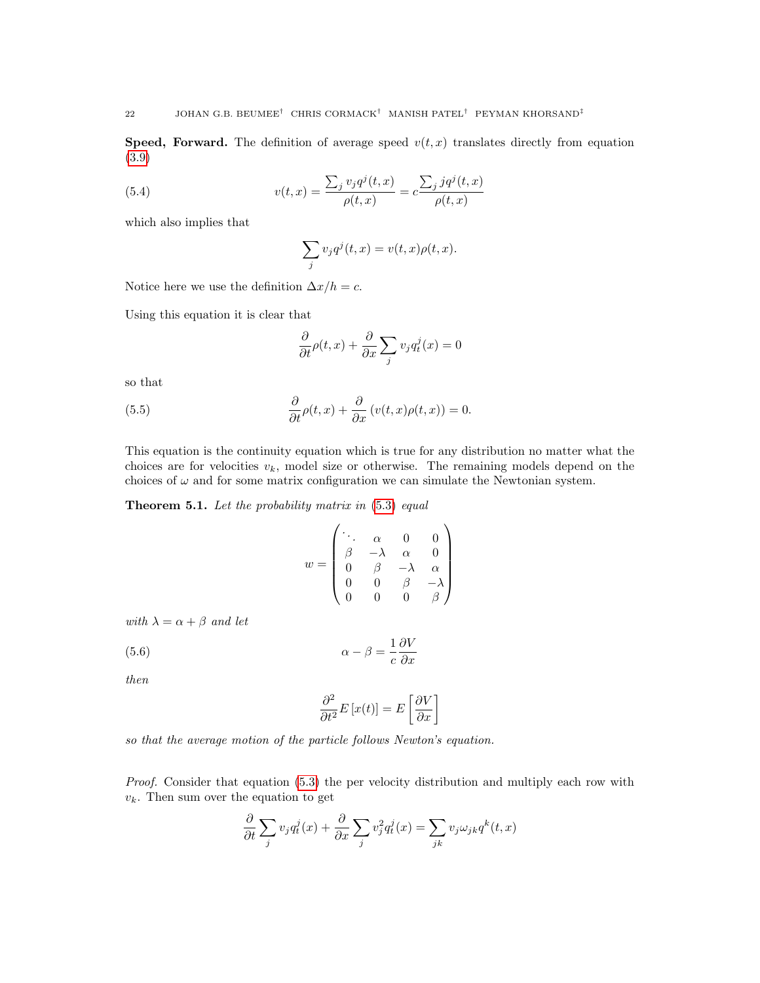**Speed, Forward.** The definition of average speed  $v(t, x)$  translates directly from equation [\(3.9\)](#page-14-0)

(5.4) 
$$
v(t,x) = \frac{\sum_{j} v_j q^j(t,x)}{\rho(t,x)} = c \frac{\sum_{j} j q^j(t,x)}{\rho(t,x)}
$$

which also implies that

$$
\sum_{j} v_j q^j(t, x) = v(t, x)\rho(t, x).
$$

Notice here we use the definition  $\Delta x/h = c$ .

Using this equation it is clear that

$$
\frac{\partial}{\partial t}\rho(t,x) + \frac{\partial}{\partial x}\sum_{j} v_j q_t^j(x) = 0
$$

so that

<span id="page-21-0"></span>(5.5) 
$$
\frac{\partial}{\partial t}\rho(t,x) + \frac{\partial}{\partial x}(v(t,x)\rho(t,x)) = 0.
$$

This equation is the continuity equation which is true for any distribution no matter what the choices are for velocities  $v_k$ , model size or otherwise. The remaining models depend on the choices of  $\omega$  and for some matrix configuration we can simulate the Newtonian system.

<span id="page-21-2"></span>Theorem 5.1. Let the probability matrix in  $(5.3)$  equal

$$
w = \begin{pmatrix} \ddots & \alpha & 0 & 0 \\ \beta & -\lambda & \alpha & 0 \\ 0 & \beta & -\lambda & \alpha \\ 0 & 0 & \beta & -\lambda \\ 0 & 0 & 0 & \beta \end{pmatrix}
$$

with  $\lambda = \alpha + \beta$  and let

<span id="page-21-1"></span>(5.6) 
$$
\alpha - \beta = \frac{1}{c} \frac{\partial V}{\partial x}
$$

then

$$
\frac{\partial^2}{\partial t^2} E\left[x(t)\right] = E\left[\frac{\partial V}{\partial x}\right]
$$

so that the average motion of the particle follows Newton's equation.

Proof. Consider that equation [\(5.3\)](#page-20-1) the per velocity distribution and multiply each row with  $v_k$ . Then sum over the equation to get

$$
\frac{\partial}{\partial t} \sum_{j} v_j q_t^j(x) + \frac{\partial}{\partial x} \sum_{j} v_j^2 q_t^j(x) = \sum_{jk} v_j \omega_{jk} q^k(t, x)
$$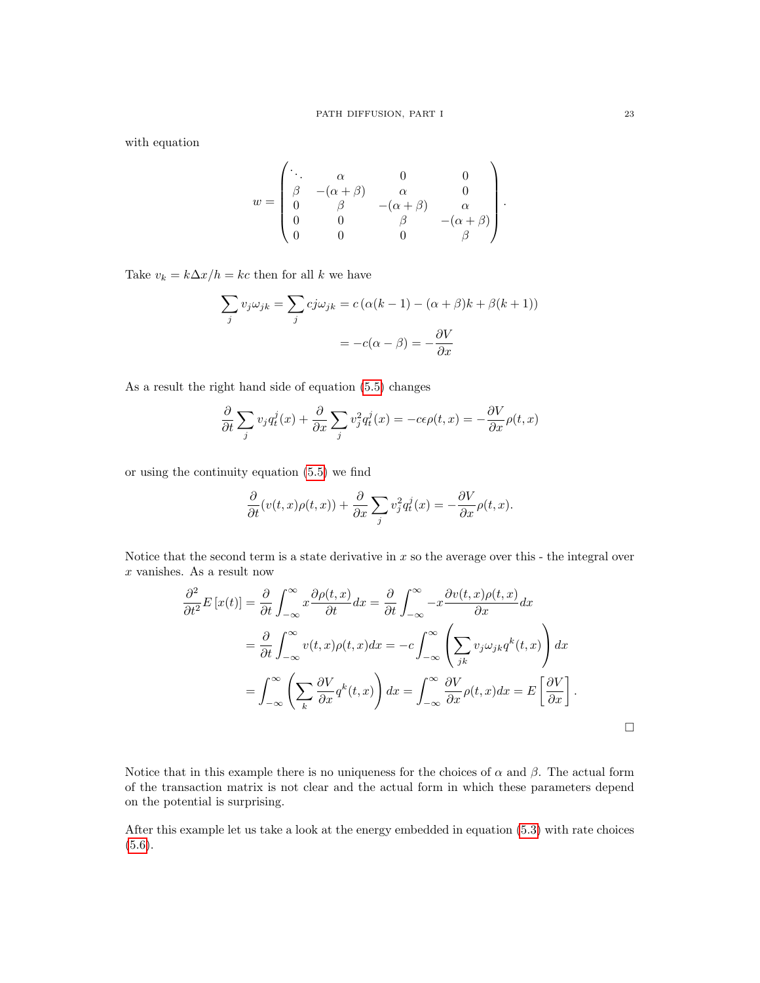with equation

$$
w = \begin{pmatrix} \ddots & \alpha & 0 & 0 \\ \beta & -(\alpha+\beta) & \alpha & 0 \\ 0 & \beta & -(\alpha+\beta) & \alpha \\ 0 & 0 & \beta & -(\alpha+\beta) \\ 0 & 0 & 0 & \beta \end{pmatrix}.
$$

Take  $v_k = k\Delta x/h = kc$  then for all k we have

$$
\sum_{j} v_{j} \omega_{jk} = \sum_{j} c j \omega_{jk} = c (\alpha (k - 1) - (\alpha + \beta)k + \beta (k + 1))
$$

$$
= -c(\alpha - \beta) = -\frac{\partial V}{\partial x}
$$

As a result the right hand side of equation [\(5.5\)](#page-21-0) changes

$$
\frac{\partial}{\partial t} \sum_{j} v_j q_t^j(x) + \frac{\partial}{\partial x} \sum_{j} v_j^2 q_t^j(x) = -c\epsilon \rho(t, x) = -\frac{\partial V}{\partial x} \rho(t, x)
$$

or using the continuity equation [\(5.5\)](#page-21-0) we find

$$
\frac{\partial}{\partial t}(v(t,x)\rho(t,x))+\frac{\partial}{\partial x}\sum_jv_j^2q_t^j(x)=-\frac{\partial V}{\partial x}\rho(t,x).
$$

Notice that the second term is a state derivative in x so the average over this - the integral over  $x$  vanishes. As a result now

$$
\frac{\partial^2}{\partial t^2} E[x(t)] = \frac{\partial}{\partial t} \int_{-\infty}^{\infty} x \frac{\partial \rho(t, x)}{\partial t} dx = \frac{\partial}{\partial t} \int_{-\infty}^{\infty} -x \frac{\partial v(t, x) \rho(t, x)}{\partial x} dx
$$

$$
= \frac{\partial}{\partial t} \int_{-\infty}^{\infty} v(t, x) \rho(t, x) dx = -c \int_{-\infty}^{\infty} \left( \sum_{jk} v_j \omega_{jk} q^k(t, x) \right) dx
$$

$$
= \int_{-\infty}^{\infty} \left( \sum_{k} \frac{\partial V}{\partial x} q^k(t, x) \right) dx = \int_{-\infty}^{\infty} \frac{\partial V}{\partial x} \rho(t, x) dx = E \left[ \frac{\partial V}{\partial x} \right].
$$

Notice that in this example there is no uniqueness for the choices of  $\alpha$  and  $\beta$ . The actual form of the transaction matrix is not clear and the actual form in which these parameters depend on the potential is surprising.

After this example let us take a look at the energy embedded in equation [\(5.3\)](#page-20-1) with rate choices  $(5.6).$  $(5.6).$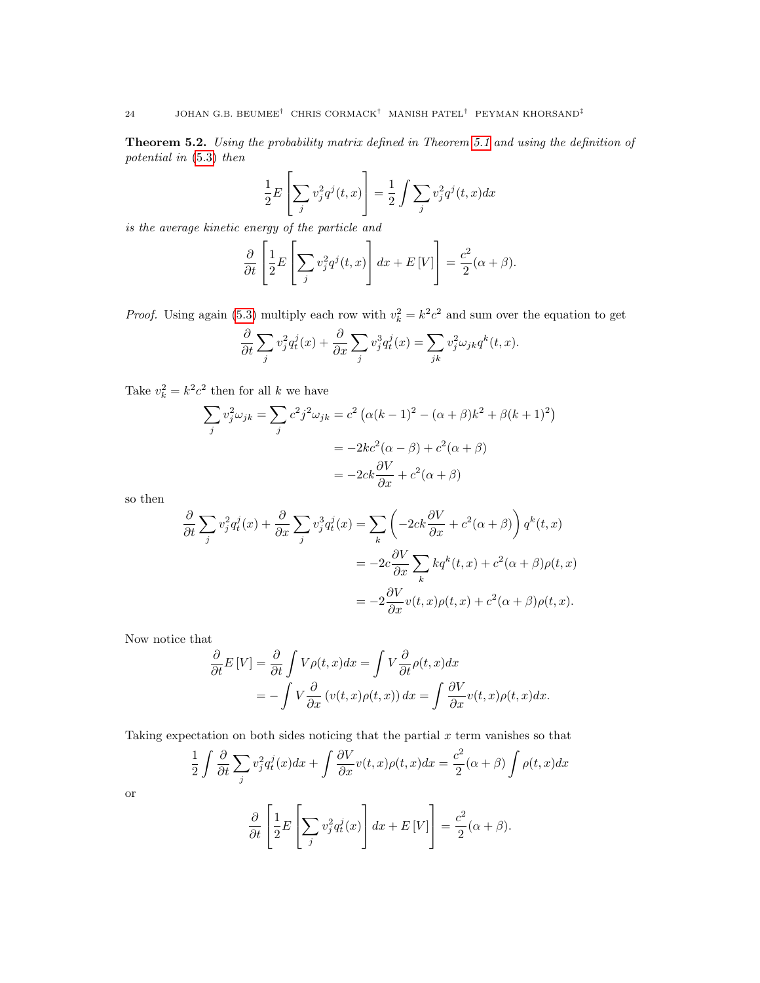Theorem 5.2. Using the probability matrix defined in Theorem [5.1](#page-21-2) and using the definition of potential in [\(5.3\)](#page-20-1) then

$$
\frac{1}{2}E\left[\sum_{j}v_j^2q^j(t,x)\right] = \frac{1}{2}\int\sum_{j}v_j^2q^j(t,x)dx
$$

is the average kinetic energy of the particle and

$$
\frac{\partial}{\partial t} \left[ \frac{1}{2} E \left[ \sum_j v_j^2 q^j(t, x) \right] dx + E[V] \right] = \frac{c^2}{2} (\alpha + \beta).
$$

*Proof.* Using again [\(5.3\)](#page-20-1) multiply each row with  $v_k^2 = k^2 c^2$  and sum over the equation to get

$$
\frac{\partial}{\partial t} \sum_{j} v_j^2 q_t^j(x) + \frac{\partial}{\partial x} \sum_{j} v_j^3 q_t^j(x) = \sum_{jk} v_j^2 \omega_{jk} q^k(t, x).
$$

Take  $v_k^2 = k^2 c^2$  then for all k we have

$$
\sum_{j} v_j^2 \omega_{jk} = \sum_{j} c^2 j^2 \omega_{jk} = c^2 \left( \alpha (k-1)^2 - (\alpha + \beta)k^2 + \beta (k+1)^2 \right)
$$

$$
= -2kc^2 (\alpha - \beta) + c^2 (\alpha + \beta)
$$

$$
= -2ck \frac{\partial V}{\partial x} + c^2 (\alpha + \beta)
$$

so then

$$
\frac{\partial}{\partial t} \sum_{j} v_{j}^{2} q_{t}^{j}(x) + \frac{\partial}{\partial x} \sum_{j} v_{j}^{3} q_{t}^{j}(x) = \sum_{k} \left( -2ck \frac{\partial V}{\partial x} + c^{2}(\alpha + \beta) \right) q^{k}(t, x)
$$

$$
= -2c \frac{\partial V}{\partial x} \sum_{k} k q^{k}(t, x) + c^{2}(\alpha + \beta) \rho(t, x)
$$

$$
= -2 \frac{\partial V}{\partial x} v(t, x) \rho(t, x) + c^{2}(\alpha + \beta) \rho(t, x).
$$

Now notice that

$$
\frac{\partial}{\partial t}E[V] = \frac{\partial}{\partial t} \int V\rho(t, x)dx = \int V \frac{\partial}{\partial t} \rho(t, x)dx
$$

$$
= -\int V \frac{\partial}{\partial x} (v(t, x)\rho(t, x)) dx = \int \frac{\partial V}{\partial x} v(t, x)\rho(t, x)dx.
$$

Taking expectation on both sides noticing that the partial  $x$  term vanishes so that

$$
\frac{1}{2} \int \frac{\partial}{\partial t} \sum_{j} v_j^2 q_t^j(x) dx + \int \frac{\partial V}{\partial x} v(t, x) \rho(t, x) dx = \frac{c^2}{2} (\alpha + \beta) \int \rho(t, x) dx
$$

$$
\frac{\partial}{\partial t} \left[ \frac{1}{2} E \left[ \sum_{j} v_j^2 q_t^j(x) \right] dx + E[V] \right] = \frac{c^2}{2} (\alpha + \beta).
$$

or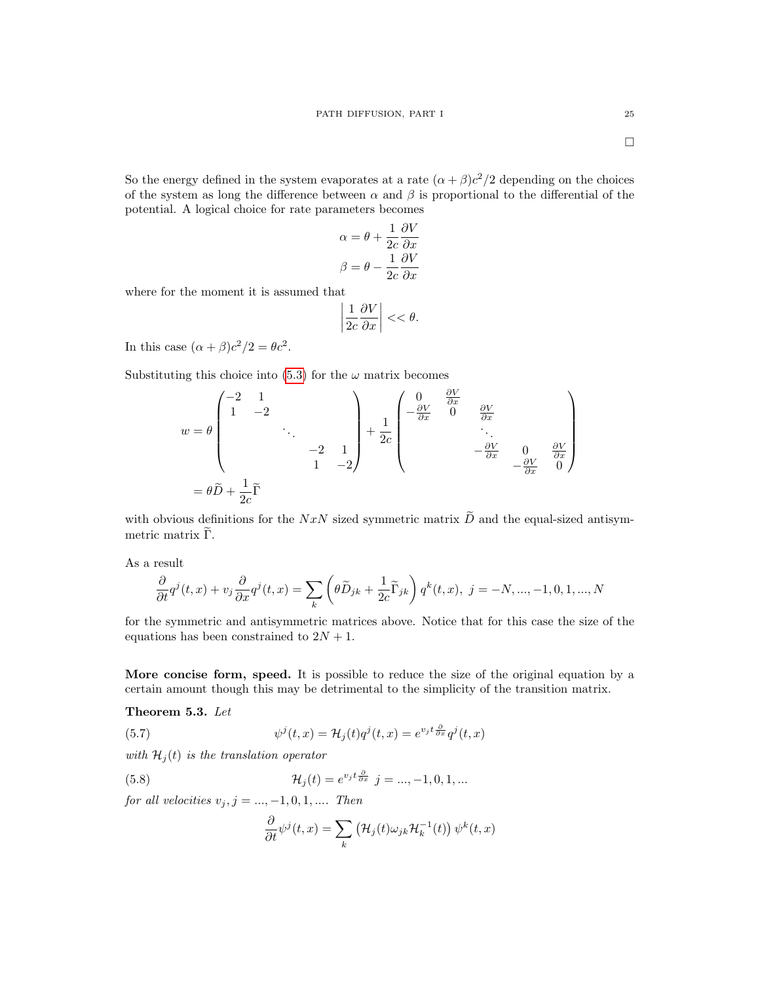$\Box$ 

So the energy defined in the system evaporates at a rate  $(\alpha + \beta)c^2/2$  depending on the choices of the system as long the difference between  $\alpha$  and  $\beta$  is proportional to the differential of the potential. A logical choice for rate parameters becomes

$$
\alpha = \theta + \frac{1}{2c} \frac{\partial V}{\partial x}
$$

$$
\beta = \theta - \frac{1}{2c} \frac{\partial V}{\partial x}
$$

where for the moment it is assumed that

$$
\left|\frac{1}{2c}\frac{\partial V}{\partial x}\right| < < \theta.
$$

In this case  $(\alpha + \beta)c^2/2 = \theta c^2$ .

Substituting this choice into [\(5.3\)](#page-20-1) for the  $\omega$  matrix becomes

$$
w = \theta \begin{pmatrix} -2 & 1 & & & \\ 1 & -2 & & & \\ & & \ddots & & \\ & & & -2 & 1 \\ & & & & 1 & -2 \end{pmatrix} + \frac{1}{2c} \begin{pmatrix} 0 & \frac{\partial V}{\partial x} & & & \\ -\frac{\partial V}{\partial x} & 0 & \frac{\partial V}{\partial x} & \\ & & \ddots & & \\ & & & -\frac{\partial V}{\partial x} & 0 & \frac{\partial V}{\partial x} \\ & & & & -\frac{\partial V}{\partial x} & 0 \end{pmatrix}
$$

$$
= \theta \widetilde{D} + \frac{1}{2c} \widetilde{\Gamma}
$$

with obvious definitions for the NxN sized symmetric matrix  $\widetilde{D}$  and the equal-sized antisymmetric matrix  $\tilde{\Gamma}$ .

As a result

$$
\frac{\partial}{\partial t}q^{j}(t,x)+v_{j}\frac{\partial}{\partial x}q^{j}(t,x)=\sum_{k}\left(\theta\widetilde{D}_{jk}+\frac{1}{2c}\widetilde{\Gamma}_{jk}\right)q^{k}(t,x),\ j=-N,...,-1,0,1,...,N
$$

for the symmetric and antisymmetric matrices above. Notice that for this case the size of the equations has been constrained to  $2N + 1$ .

More concise form, speed. It is possible to reduce the size of the original equation by a certain amount though this may be detrimental to the simplicity of the transition matrix.

Theorem 5.3. Let

<span id="page-24-0"></span>(5.7) 
$$
\psi^j(t,x) = \mathcal{H}_j(t)q^j(t,x) = e^{v_j t \frac{\partial}{\partial x}} q^j(t,x)
$$

with  $\mathcal{H}_j(t)$  is the translation operator

<span id="page-24-1"></span>(5.8) 
$$
\mathcal{H}_j(t) = e^{v_j t} \frac{\partial}{\partial x} \quad j = ..., -1, 0, 1, ...
$$

for all velocities  $v_j, j = ..., -1, 0, 1, ...$  Then

$$
\frac{\partial}{\partial t}\psi^{j}(t,x) = \sum_{k} (\mathcal{H}_{j}(t)\omega_{jk}\mathcal{H}_{k}^{-1}(t))\psi^{k}(t,x)
$$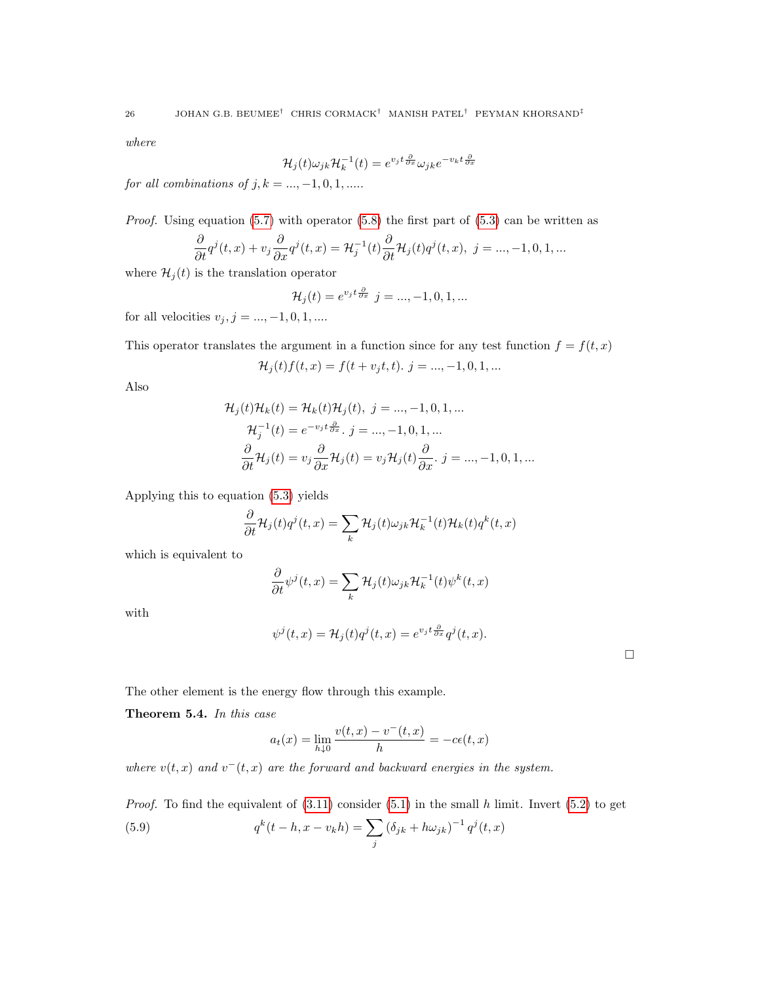where

$$
\mathcal{H}_j(t)\omega_{jk}\mathcal{H}_k^{-1}(t) = e^{v_j t \frac{\partial}{\partial x}} \omega_{jk} e^{-v_k t \frac{\partial}{\partial x}}
$$

for all combinations of  $j, k = ..., -1, 0, 1, ...$ .

*Proof.* Using equation  $(5.7)$  with operator  $(5.8)$  the first part of  $(5.3)$  can be written as

$$
\frac{\partial}{\partial t}q^{j}(t,x)+v_{j}\frac{\partial}{\partial x}q^{j}(t,x)=\mathcal{H}_{j}^{-1}(t)\frac{\partial}{\partial t}\mathcal{H}_{j}(t)q^{j}(t,x),\ j=...,-1,0,1,...
$$

where  $\mathcal{H}_j(t)$  is the translation operator

$$
\mathcal{H}_j(t) = e^{v_j t \frac{\partial}{\partial x}} \quad j = \dots, -1, 0, 1, \dots
$$

for all velocities  $v_j, j = ..., -1, 0, 1, ...$ 

This operator translates the argument in a function since for any test function  $f = f(t, x)$ 

$$
\mathcal{H}_j(t)f(t,x) = f(t + v_jt, t). \; j = ..., -1, 0, 1, ...
$$

Also

$$
\mathcal{H}_j(t)\mathcal{H}_k(t) = \mathcal{H}_k(t)\mathcal{H}_j(t), \ j = ..., -1, 0, 1, ...
$$
  

$$
\mathcal{H}_j^{-1}(t) = e^{-v_j t \frac{\partial}{\partial x}}. \ j = ..., -1, 0, 1, ...
$$
  

$$
\frac{\partial}{\partial t}\mathcal{H}_j(t) = v_j \frac{\partial}{\partial x}\mathcal{H}_j(t) = v_j \mathcal{H}_j(t) \frac{\partial}{\partial x}. \ j = ..., -1, 0, 1, ...
$$

Applying this to equation [\(5.3\)](#page-20-1) yields

$$
\frac{\partial}{\partial t} \mathcal{H}_j(t) q^j(t, x) = \sum_k \mathcal{H}_j(t) \omega_{jk} \mathcal{H}_k^{-1}(t) \mathcal{H}_k(t) q^k(t, x)
$$

which is equivalent to

$$
\frac{\partial}{\partial t}\psi^{j}(t,x) = \sum_{k} \mathcal{H}_{j}(t)\omega_{jk}\mathcal{H}_{k}^{-1}(t)\psi^{k}(t,x)
$$

with

$$
\psi^j(t,x) = \mathcal{H}_j(t)q^j(t,x) = e^{v_j t \frac{\partial}{\partial x}} q^j(t,x).
$$

 $\Box$ 

The other element is the energy flow through this example.

Theorem 5.4. In this case

$$
a_t(x) = \lim_{h \downarrow 0} \frac{v(t, x) - v^-(t, x)}{h} = -c\epsilon(t, x)
$$

where  $v(t, x)$  and  $v^-(t, x)$  are the forward and backward energies in the system.

*Proof.* To find the equivalent of  $(3.11)$  consider  $(5.1)$  in the small h limit. Invert  $(5.2)$  to get  $q^k(t-h,x-v_kh) = \sum$ .j (5.9)  $q^k(t-h, x-v_kh) = \sum (\delta_{jk} + h\omega_{jk})^{-1} q^j(t, x)$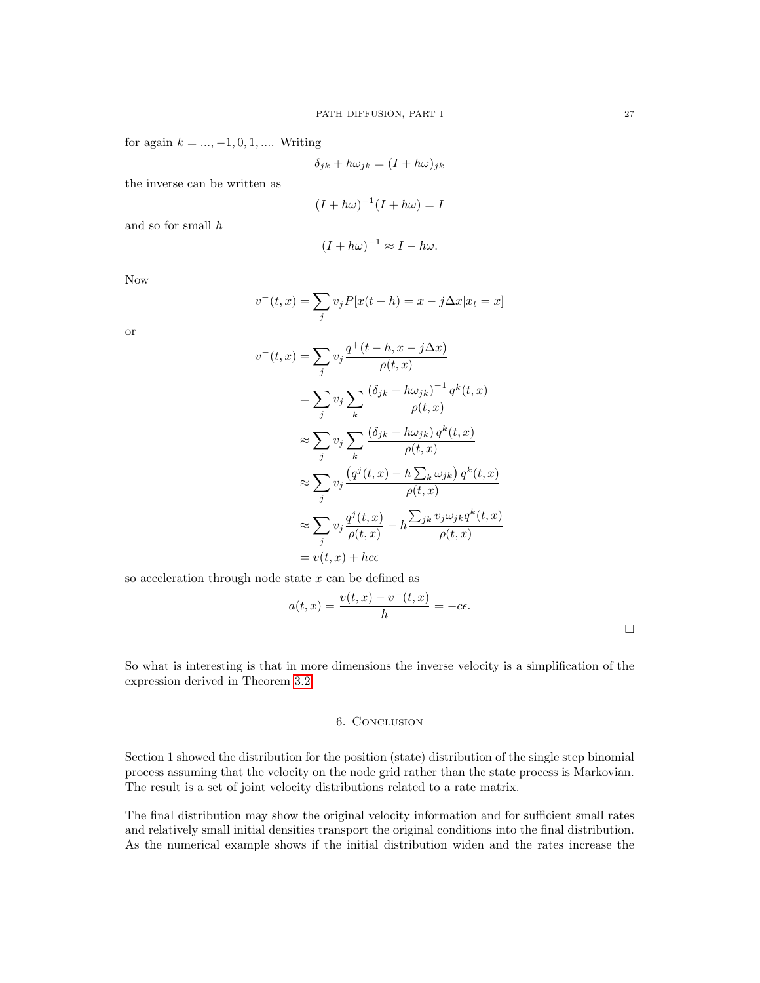for again  $k = ..., -1, 0, 1, ...$  Writing

$$
\delta_{jk} + h\omega_{jk} = (I + h\omega)_{jk}
$$

the inverse can be written as

$$
(I + h\omega)^{-1}(I + h\omega) = I
$$

and so for small h

$$
(I + h\omega)^{-1} \approx I - h\omega.
$$

Now

$$
v^{-}(t,x) = \sum_{j} v_{j} P[x(t-h) = x - j\Delta x | x_{t} = x]
$$

or

$$
v^-(t,x) = \sum_j v_j \frac{q^+(t-h, x - j\Delta x)}{\rho(t,x)}
$$
  
\n
$$
= \sum_j v_j \sum_k \frac{(\delta_{jk} + h\omega_{jk})^{-1} q^k(t,x)}{\rho(t,x)}
$$
  
\n
$$
\approx \sum_j v_j \sum_k \frac{(\delta_{jk} - h\omega_{jk}) q^k(t,x)}{\rho(t,x)}
$$
  
\n
$$
\approx \sum_j v_j \frac{(q^j(t,x) - h\sum_k \omega_{jk}) q^k(t,x)}{\rho(t,x)}
$$
  
\n
$$
\approx \sum_j v_j \frac{q^j(t,x)}{\rho(t,x)} - h \frac{\sum_{jk} v_j \omega_{jk} q^k(t,x)}{\rho(t,x)}
$$
  
\n
$$
= v(t,x) + hce
$$

so acceleration through node state  $x$  can be defined as

$$
a(t,x) = \frac{v(t,x) - v^-(t,x)}{h} = -c\epsilon.
$$

So what is interesting is that in more dimensions the inverse velocity is a simplification of the expression derived in Theorem [3.2.](#page-14-1)

### 6. Conclusion

Section 1 showed the distribution for the position (state) distribution of the single step binomial process assuming that the velocity on the node grid rather than the state process is Markovian. The result is a set of joint velocity distributions related to a rate matrix.

The final distribution may show the original velocity information and for sufficient small rates and relatively small initial densities transport the original conditions into the final distribution. As the numerical example shows if the initial distribution widen and the rates increase the